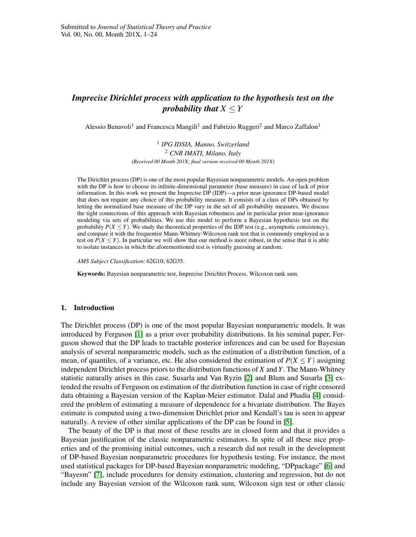# *Imprecise Dirichlet process with application to the hypothesis test on the probability that*  $X \leq Y$

Alessio Benavoli<sup>1</sup> and Francesca Mangili<sup>1</sup> and Fabrizio Ruggeri<sup>2</sup> and Marco Zaffalon<sup>1</sup>

1 *IPG IDSIA, Manno, Switzerland* <sup>2</sup> *CNR IMATI, Milano, Italy* (*Received 00 Month 201X; final version received 00 Month 201X*)

The Dirichlet process (DP) is one of the most popular Bayesian nonparametric models. An open problem with the DP is how to choose its infinite-dimensional parameter (base measure) in case of lack of prior information. In this work we present the Imprecise DP (IDP)—a prior near-ignorance DP-based model that does not require any choice of this probability measure. It consists of a class of DPs obtained by letting the normalized base measure of the DP vary in the set of all probability measures. We discuss the tight connections of this approach with Bayesian robustness and in particular prior near-ignorance modeling via sets of probabilities. We use this model to perform a Bayesian hypothesis test on the probability  $P(X \leq Y)$ . We study the theoretical properties of the IDP test (e.g., asymptotic consistency), and compare it with the frequentist Mann-Whitney-Wilcoxon rank test that is commonly employed as a test on  $P(X \le Y)$ . In particular we will show that our method is more robust, in the sense that it is able to isolate instances in which the aforementioned test is virtually guessing at random.

*AMS Subject Classification*: 62G10; 62G35.

Keywords: Bayesian nonparametric test, Imprecise Dirichlet Process, Wilcoxon rank sum.

#### 1. Introduction

The Dirichlet process (DP) is one of the most popular Bayesian nonparametric models. It was introduced by Ferguson [\[1\]](#page-21-0) as a prior over probability distributions. In his seminal paper, Ferguson showed that the DP leads to tractable posterior inferences and can be used for Bayesian analysis of several nonparametric models, such as the estimation of a distribution function, of a mean, of quantiles, of a variance, etc. He also considered the estimation of  $P(X \le Y)$  assigning independent Dirichlet process priors to the distribution functions of *X* and *Y*. The Mann-Whitney statistic naturally arises in this case. Susarla and Van Ryzin [\[2\]](#page-21-1) and Blum and Susarla [\[3\]](#page-22-0) extended the results of Ferguson on estimation of the distribution function in case of right censored data obtaining a Bayesian version of the Kaplan-Meier estimator. Dalal and Phadia [\[4\]](#page-22-1) considered the problem of estimating a measure of dependence for a bivariate distribution. The Bayes estimate is computed using a two-dimension Dirichlet prior and Kendall's tau is seen to appear naturally. A review of other similar applications of the DP can be found in [\[5\]](#page-22-2).

The beauty of the DP is that most of these results are in closed form and that it provides a Bayesian justification of the classic nonparametric estimators. In spite of all these nice properties and of the promising initial outcomes, such a research did not result in the development of DP-based Bayesian nonparametric procedures for hypothesis testing. For instance, the most used statistical packages for DP-based Bayesian nonparametric modeling, "DPpackage" [\[6\]](#page-22-3) and "Bayesm" [\[7\]](#page-22-4), include procedures for density estimation, clustering and regression, but do not include any Bayesian version of the Wilcoxon rank sum, Wilcoxon sign test or other classic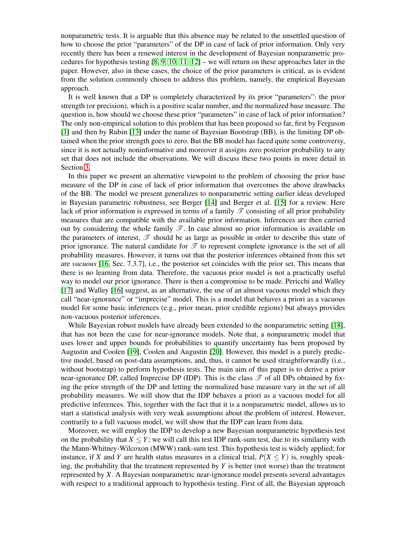nonparametric tests. It is arguable that this absence may be related to the unsettled question of how to choose the prior "parameters" of the DP in case of lack of prior information. Only very recently there has been a renewed interest in the development of Bayesian nonparametric procedures for hypothesis testing  $[8, 9, 10, 11, 12]$  $[8, 9, 10, 11, 12]$  $[8, 9, 10, 11, 12]$  $[8, 9, 10, 11, 12]$  $[8, 9, 10, 11, 12]$  – we will return on these approaches later in the paper. However, also in these cases, the choice of the prior parameters is critical, as is evident from the solution commonly chosen to address this problem, namely, the empirical Bayesian approach.

It is well known that a DP is completely characterized by its prior "parameters": the prior strength (or precision), which is a positive scalar number, and the normalized base measure. The question is, how should we choose these prior "parameters" in case of lack of prior information? The only non-empirical solution to this problem that has been proposed so far, first by Ferguson [\[1\]](#page-21-0) and then by Rubin [\[13\]](#page-22-10) under the name of Bayesian Bootstrap (BB), is the limiting DP obtained when the prior strength goes to zero. But the BB model has faced quite some controversy, since it is not actually noninformative and moreover it assigns zero posterior probability to any set that does not include the observations. We will discuss these two points in more detail in Section [3.](#page-4-0)

In this paper we present an alternative viewpoint to the problem of choosing the prior base measure of the DP in case of lack of prior information that overcomes the above drawbacks of the BB. The model we present generalizes to nonparametric setting earlier ideas developed in Bayesian parametric robustness, see Berger [\[14\]](#page-22-11) and Berger et al. [\[15\]](#page-22-12) for a review. Here lack of prior information is expressed in terms of a family  $\mathscr T$  consisting of all prior probability measures that are compatible with the available prior information. Inferences are then carried out by considering the whole family  $\mathscr{T}$ . In case almost no prior information is available on the parameters of interest,  $\mathscr T$  should be as large as possible in order to describe this state of prior ignorance. The natural candidate for  $\mathscr T$  to represent complete ignorance is the set of all probability measures. However, it turns out that the posterior inferences obtained from this set are *vacuous* [\[16,](#page-22-13) Sec. 7.3.7], i.e., the posterior set coincides with the prior set. This means that there is no learning from data. Therefore, the vacuous prior model is not a practically useful way to model our prior ignorance. There is then a compromise to be made. Pericchi and Walley [\[17\]](#page-22-14) and Walley [\[16\]](#page-22-13) suggest, as an alternative, the use of an almost vacuous model which they call "near-ignorance" or "imprecise" model. This is a model that behaves a priori as a vacuous model for some basic inferences (e.g., prior mean, prior credible regions) but always provides non-vacuous posterior inferences.

While Bayesian robust models have already been extended to the nonparametric setting [\[18\]](#page-22-15), that has not been the case for near-ignorance models. Note that, a nonparametric model that uses lower and upper bounds for probabilities to quantify uncertainty has been proposed by Augustin and Coolen [\[19\]](#page-22-16), Coolen and Augustin [\[20\]](#page-22-17). However, this model is a purely predictive model, based on post-data assumptions, and, thus, it cannot be used straightforwardly (i.e., without bootstrap) to perform hypothesis tests. The main aim of this paper is to derive a prior near-ignorance DP, called Imprecise DP (IDP). This is the class  $\mathscr{T}$  of all DPs obtained by fixing the prior strength of the DP and letting the normalized base measure vary in the set of all probability measures. We will show that the IDP behaves a priori as a vacuous model for all predictive inferences. This, together with the fact that it is a nonparametric model, allows us to start a statistical analysis with very weak assumptions about the problem of interest. However, contrarily to a full vacuous model, we will show that the IDP can learn from data.

Moreover, we will employ the IDP to develop a new Bayesian nonparametric hypothesis test on the probability that  $X \leq Y$ ; we will call this test IDP rank-sum test, due to its similarity with the Mann-Whitney-Wilcoxon (MWW) rank-sum test. This hypothesis test is widely applied; for instance, if *X* and *Y* are health status measures in a clinical trial,  $P(X \le Y)$  is, roughly speaking, the probability that the treatment represented by *Y* is better (not worse) than the treatment represented by *X*. A Bayesian nonparametric near-ignorance model presents several advantages with respect to a traditional approach to hypothesis testing. First of all, the Bayesian approach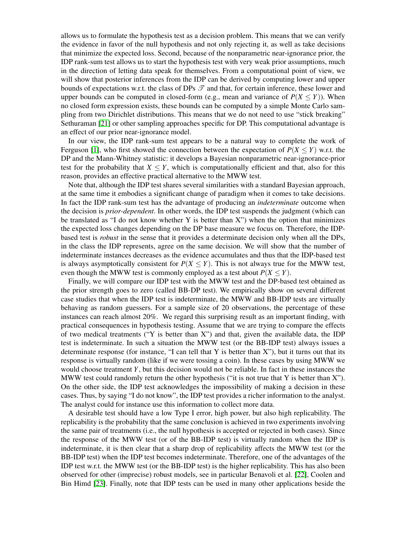allows us to formulate the hypothesis test as a decision problem. This means that we can verify the evidence in favor of the null hypothesis and not only rejecting it, as well as take decisions that minimize the expected loss. Second, because of the nonparametric near-ignorance prior, the IDP rank-sum test allows us to start the hypothesis test with very weak prior assumptions, much in the direction of letting data speak for themselves. From a computational point of view, we will show that posterior inferences from the IDP can be derived by computing lower and upper bounds of expectations w.r.t. the class of DPs  $\mathscr T$  and that, for certain inference, these lower and upper bounds can be computed in closed-form (e.g., mean and variance of  $P(X \le Y)$ ). When no closed form expression exists, these bounds can be computed by a simple Monte Carlo sampling from two Dirichlet distributions. This means that we do not need to use "stick breaking" Sethuraman [\[21\]](#page-22-18) or other sampling approaches specific for DP. This computational advantage is an effect of our prior near-ignorance model.

In our view, the IDP rank-sum test appears to be a natural way to complete the work of Ferguson [\[1\]](#page-21-0), who first showed the connection between the expectation of  $P(X \le Y)$  w.r.t. the DP and the Mann-Whitney statistic: it develops a Bayesian nonparametric near-ignorance-prior test for the probability that  $X \leq Y$ , which is computationally efficient and that, also for this reason, provides an effective practical alternative to the MWW test.

Note that, although the IDP test shares several similarities with a standard Bayesian approach, at the same time it embodies a significant change of paradigm when it comes to take decisions. In fact the IDP rank-sum test has the advantage of producing an *indeterminate* outcome when the decision is *prior-dependent*. In other words, the IDP test suspends the judgment (which can be translated as "I do not know whether Y is better than  $X$ ") when the option that minimizes the expected loss changes depending on the DP base measure we focus on. Therefore, the IDPbased test is *robust* in the sense that it provides a determinate decision only when all the DPs, in the class the IDP represents, agree on the same decision. We will show that the number of indeterminate instances decreases as the evidence accumulates and thus that the IDP-based test is always asymptotically consistent for  $P(X \le Y)$ . This is not always true for the MWW test, even though the MWW test is commonly employed as a test about  $P(X \le Y)$ .

Finally, we will compare our IDP test with the MWW test and the DP-based test obtained as the prior strength goes to zero (called BB-DP test). We empirically show on several different case studies that when the IDP test is indeterminate, the MWW and BB-IDP tests are virtually behaving as random guessers. For a sample size of 20 observations, the percentage of these instances can reach almost 20%. We regard this surprising result as an important finding, with practical consequences in hypothesis testing. Assume that we are trying to compare the effects of two medical treatments ("Y is better than X") and that, given the available data, the IDP test is indeterminate. In such a situation the MWW test (or the BB-IDP test) always issues a determinate response (for instance, "I can tell that Y is better than X"), but it turns out that its response is virtually random (like if we were tossing a coin). In these cases by using MWW we would choose treatment *Y*, but this decision would not be reliable. In fact in these instances the MWW test could randomly return the other hypothesis ("it is not true that Y is better than  $X$ "). On the other side, the IDP test acknowledges the impossibility of making a decision in these cases. Thus, by saying "I do not know", the IDP test provides a richer information to the analyst. The analyst could for instance use this information to collect more data.

A desirable test should have a low Type I error, high power, but also high replicability. The replicability is the probability that the same conclusion is achieved in two experiments involving the same pair of treatments (i.e., the null hypothesis is accepted or rejected in both cases). Since the response of the MWW test (or of the BB-IDP test) is virtually random when the IDP is indeterminate, it is then clear that a sharp drop of replicability affects the MWW test (or the BB-IDP test) when the IDP test becomes indeterminate. Therefore, one of the advantages of the IDP test w.r.t. the MWW test (or the BB-IDP test) is the higher replicability. This has also been observed for other (imprecise) robust models, see in particular Benavoli et al. [\[22\]](#page-22-19), Coolen and Bin Himd [\[23\]](#page-22-20). Finally, note that IDP tests can be used in many other applications beside the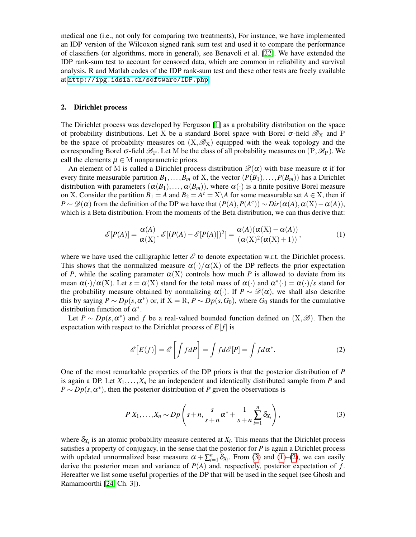medical one (i.e., not only for comparing two treatments), For instance, we have implemented an IDP version of the Wilcoxon signed rank sum test and used it to compare the performance of classifiers (or algorithms, more in general), see Benavoli et al. [\[22\]](#page-22-19). We have extended the IDP rank-sum test to account for censored data, which are common in reliability and survival analysis. R and Matlab codes of the IDP rank-sum test and these other tests are freely available at <http://ipg.idsia.ch/software/IDP.php>.

# <span id="page-3-3"></span>2. Dirichlet process

The Dirichlet process was developed by Ferguson [\[1\]](#page-21-0) as a probability distribution on the space of probability distributions. Let X be a standard Borel space with Borel  $\sigma$ -field  $\mathscr{B}_X$  and P be the space of probability measures on  $(X,\mathscr{B}_X)$  equipped with the weak topology and the corresponding Borel  $\sigma$ -field  $\mathscr{B}_P$ . Let M be the class of all probability measures on  $(P, \mathscr{B}_P)$ . We call the elements  $\mu \in M$  nonparametric priors.

An element of M is called a Dirichlet process distribution  $\mathcal{D}(\alpha)$  with base measure  $\alpha$  if for every finite measurable partition  $B_1, \ldots, B_m$  of X, the vector  $(P(B_1), \ldots, P(B_m))$  has a Dirichlet distribution with parameters  $(\alpha(B_1), \ldots, \alpha(B_m))$ , where  $\alpha(\cdot)$  is a finite positive Borel measure on X. Consider the partition  $B_1 = A$  and  $B_2 = A^c = X \setminus A$  for some measurable set  $A \in X$ , then if *P* ∼  $\mathcal{D}(\alpha)$  from the definition of the DP we have that  $(P(A), P(A^c)) \sim Dir(\alpha(A), \alpha(X) - \alpha(A)),$ which is a Beta distribution. From the moments of the Beta distribution, we can thus derive that:

<span id="page-3-1"></span>
$$
\mathcal{E}[P(A)] = \frac{\alpha(A)}{\alpha(X)}, \mathcal{E}[(P(A) - \mathcal{E}[P(A)])^2] = \frac{\alpha(A)(\alpha(X) - \alpha(A))}{(\alpha(X)^2(\alpha(X) + 1))},
$$
(1)

where we have used the calligraphic letter  $\mathscr E$  to denote expectation w.r.t. the Dirichlet process. This shows that the normalized measure  $\alpha(\cdot)/\alpha(X)$  of the DP reflects the prior expectation of *P*, while the scaling parameter  $\alpha(X)$  controls how much *P* is allowed to deviate from its mean  $\alpha(\cdot)/\alpha(X)$ . Let  $s = \alpha(X)$  stand for the total mass of  $\alpha(\cdot)$  and  $\alpha^*(\cdot) = \alpha(\cdot)/s$  stand for the probability measure obtained by normalizing  $\alpha(\cdot)$ . If  $P \sim \mathcal{D}(\alpha)$ , we shall also describe this by saying  $P \sim Dp(s, \alpha^*)$  or, if  $X = R$ ,  $P \sim Dp(s, G_0)$ , where  $G_0$  stands for the cumulative distribution function of  $\alpha^*$ .

Let  $P \sim Dp(s, \alpha^*)$  and f be a real-valued bounded function defined on  $(X, \mathscr{B})$ . Then the expectation with respect to the Dirichlet process of  $E[f]$  is

<span id="page-3-2"></span>
$$
\mathscr{E}\left[E(f)\right] = \mathscr{E}\left[\int f dP\right] = \int f d\mathscr{E}[P] = \int f d\alpha^*.
$$
 (2)

One of the most remarkable properties of the DP priors is that the posterior distribution of *P* is again a DP. Let  $X_1, \ldots, X_n$  be an independent and identically distributed sample from *P* and  $P \sim Dp(s, \alpha^*)$ , then the posterior distribution of *P* given the observations is

<span id="page-3-0"></span>
$$
P|X_1,\ldots,X_n \sim D p\left(s+n,\frac{s}{s+n}\alpha^*+\frac{1}{s+n}\sum_{i=1}^n \delta_{X_i}\right),\tag{3}
$$

where  $\delta_{X_i}$  is an atomic probability measure centered at  $X_i$ . This means that the Dirichlet process satisfies a property of conjugacy, in the sense that the posterior for  $P$  is again a Dirichlet process with updated unnormalized base measure  $\alpha + \sum_{i=1}^{n} \delta_{X_i}$ . From [\(3\)](#page-3-0) and [\(1\)](#page-3-1)–[\(2\)](#page-3-2), we can easily derive the posterior mean and variance of *P*(*A*) and, respectively, posterior expectation of *f* . Hereafter we list some useful properties of the DP that will be used in the sequel (see Ghosh and Ramamoorthi [\[24,](#page-22-21) Ch. 3]).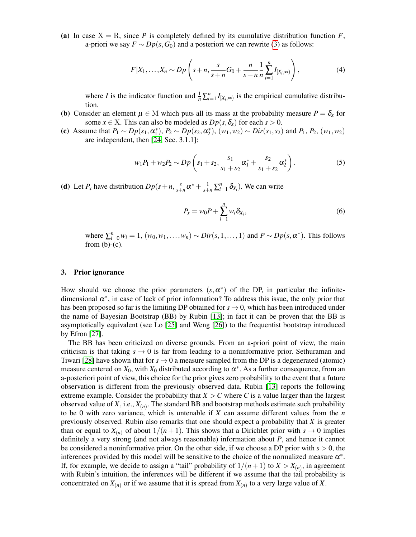(a) In case  $X = R$ , since P is completely defined by its cumulative distribution function F, a-priori we say  $F \sim Dp(s, G_0)$  and a posteriori we can rewrite [\(3\)](#page-3-0) as follows:

$$
F|X_1,\ldots,X_n \sim D_p\left(s+n,\frac{s}{s+n}G_0+\frac{n}{s+n}\frac{1}{n}\sum_{i=1}^n I_{[X_i,\infty)}\right),\qquad (4)
$$

where *I* is the indicator function and  $\frac{1}{n} \sum_{i=1}^{n} I_{[X_i,\infty)}$  is the empirical cumulative distribution.

- (b) Consider an element  $\mu \in M$  which puts all its mass at the probability measure  $P = \delta_x$  for some  $x \in X$ . This can also be modeled as  $Dp(s, \delta_x)$  for each  $s > 0$ .
- (c) Assume that  $P_1 \sim Dp(s_1, \alpha_1^*)$ ,  $P_2 \sim Dp(s_2, \alpha_2^*)$ ,  $(w_1, w_2) \sim Dir(s_1, s_2)$  and  $P_1, P_2, (w_1, w_2)$ are independent, then [\[24,](#page-22-21) Sec. 3.1.1]:

$$
w_1P_1 + w_2P_2 \sim Dp\left(s_1 + s_2, \frac{s_1}{s_1 + s_2}\alpha_1^* + \frac{s_2}{s_1 + s_2}\alpha_2^*\right).
$$
 (5)

(**d**) Let  $P_x$  have distribution  $Dp(s+n, \frac{s}{s+n})$  $\frac{s}{s+n} \alpha^* + \frac{1}{s+n} \sum_{i=1}^n \delta_{X_i}$ ). We can write

<span id="page-4-1"></span>
$$
P_x = w_0 P + \sum_{i=1}^n w_i \delta_{X_i},
$$
\n(6)

where  $\sum_{i=0}^{n} w_i = 1$ ,  $(w_0, w_1, \ldots, w_n) \sim Dir(s, 1, \ldots, 1)$  and  $P \sim Dp(s, \alpha^*)$ . This follows from  $(b)-(c)$ .

# <span id="page-4-0"></span>3. Prior ignorance

How should we choose the prior parameters  $(s, \alpha^*)$  of the DP, in particular the infinitedimensional  $\alpha^*$ , in case of lack of prior information? To address this issue, the only prior that has been proposed so far is the limiting DP obtained for  $s \to 0$ , which has been introduced under the name of Bayesian Bootstrap (BB) by Rubin [\[13\]](#page-22-10); in fact it can be proven that the BB is asymptotically equivalent (see Lo [\[25\]](#page-22-22) and Weng [\[26\]](#page-22-23)) to the frequentist bootstrap introduced by Efron [\[27\]](#page-22-24).

The BB has been criticized on diverse grounds. From an a-priori point of view, the main criticism is that taking  $s \to 0$  is far from leading to a noninformative prior. Sethuraman and Tiwari [\[28\]](#page-22-25) have shown that for  $s \to 0$  a measure sampled from the DP is a degenerated (atomic) measure centered on  $X_0$ , with  $X_0$  distributed according to  $\alpha^*$ . As a further consequence, from an a-posteriori point of view, this choice for the prior gives zero probability to the event that a future observation is different from the previously observed data. Rubin [\[13\]](#page-22-10) reports the following extreme example. Consider the probability that  $X > C$  where *C* is a value larger than the largest observed value of *X*, i.e., *X*(*n*) . The standard BB and bootstrap methods estimate such probability to be 0 with zero variance, which is untenable if *X* can assume different values from the *n* previously observed. Rubin also remarks that one should expect a probability that *X* is greater than or equal to  $X_{(n)}$  of about  $1/(n+1)$ . This shows that a Dirichlet prior with  $s \to 0$  implies definitely a very strong (and not always reasonable) information about *P*, and hence it cannot be considered a noninformative prior. On the other side, if we choose a DP prior with  $s > 0$ , the inferences provided by this model will be sensitive to the choice of the normalized measure  $\alpha^*$ . If, for example, we decide to assign a "tail" probability of  $1/(n+1)$  to  $X > X_{(n)}$ , in agreement with Rubin's intuition, the inferences will be different if we assume that the tail probability is concentrated on  $X_{(n)}$  or if we assume that it is spread from  $X_{(n)}$  to a very large value of X.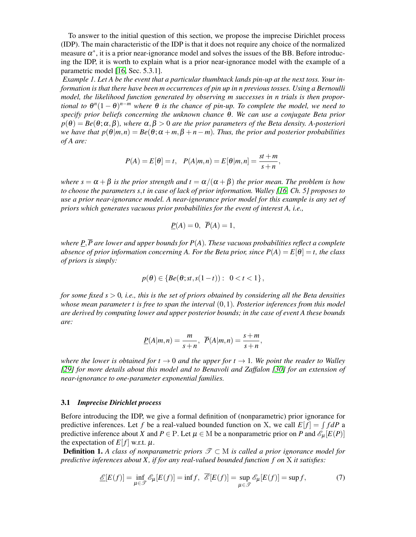To answer to the initial question of this section, we propose the imprecise Dirichlet process (IDP). The main characteristic of the IDP is that it does not require any choice of the normalized measure  $\alpha^*$ , it is a prior near-ignorance model and solves the issues of the BB. Before introducing the IDP, it is worth to explain what is a prior near-ignorance model with the example of a parametric model [\[16,](#page-22-13) Sec. 5.3.1].

*Example 1. Let A be the event that a particular thumbtack lands pin-up at the next toss. Your information is that there have been m occurrences of pin up in n previous tosses. Using a Bernoulli model, the likelihood function generated by observing m successes in n trials is then proportional to*  $\theta^{n}(1-\theta)^{n-m}$  *where*  $\theta$  *is the chance of pin-up. To complete the model, we need to specify prior beliefs concerning the unknown chance* θ*. We can use a conjugate Beta prior*  $p(\theta) = Be(\theta; \alpha, \beta)$ *, where*  $\alpha, \beta > 0$  *are the prior parameters of the Beta density. A-posteriori we have that*  $p(\theta|m,n) = Be(\theta;\alpha+m,\beta+n-m)$ *. Thus, the prior and posterior probabilities of A are:*

$$
P(A) = E[\theta] = t, \quad P(A|m, n) = E[\theta|m, n] = \frac{st+m}{s+n},
$$

*where*  $s = \alpha + \beta$  *is the prior strength and*  $t = \alpha/(\alpha + \beta)$  *the prior mean. The problem is how to choose the parameters s*,*t in case of lack of prior information. Walley [\[16,](#page-22-13) Ch. 5] proposes to use a prior near-ignorance model. A near-ignorance prior model for this example is any set of priors which generates vacuous prior probabilities for the event of interest A, i.e.,*

$$
\underline{P}(A) = 0, \ \overline{P}(A) = 1,
$$

*where P*,*P are lower and upper bounds for P*(*A*)*. These vacuous probabilities reflect a complete absence of prior information concerning A. For the Beta prior, since*  $P(A) = E[\theta] = t$ , the class *of priors is simply:*

$$
p(\theta) \in \{ Be(\theta; st, s(1-t)) : 0 < t < 1 \},\
$$

*for some fixed s* > 0*, i.e., this is the set of priors obtained by considering all the Beta densities whose mean parameter t is free to span the interval* (0,1)*. Posterior inferences from this model are derived by computing lower and upper posterior bounds; in the case of event A these bounds are:*

$$
\underline{P}(A|m,n) = \frac{m}{s+n}, \ \overline{P}(A|m,n) = \frac{s+m}{s+n},
$$

*where the lower is obtained for t*  $\rightarrow$  0 *and the upper for t*  $\rightarrow$  1*. We point the reader to Walley [\[29\]](#page-22-26) for more details about this model and to Benavoli and Zaffalon [\[30\]](#page-22-27) for an extension of near-ignorance to one-parameter exponential families.*

# 3.1 *Imprecise Dirichlet process*

Before introducing the IDP, we give a formal definition of (nonparametric) prior ignorance for predictive inferences. Let f be a real-valued bounded function on X, we call  $E[f] = \int f dP$  a predictive inference about *X* and  $P \in \mathcal{P}$ . Let  $\mu \in \mathcal{M}$  be a nonparametric prior on *P* and  $\mathcal{E}_{\mu}[E(P)]$ the expectation of  $E[f]$  w.r.t.  $\mu$ .

**Definition 1.** A class of nonparametric priors  $\mathscr{T} \subset M$  is called a prior ignorance model for *predictive inferences about X, if for any real-valued bounded function f on* X *it satisfies:*

<span id="page-5-0"></span>
$$
\underline{\mathscr{E}}[E(f)] = \inf_{\mu \in \mathscr{F}} \mathscr{E}_{\mu}[E(f)] = \inf f, \quad \overline{\mathscr{E}}[E(f)] = \sup_{\mu \in \mathscr{F}} \mathscr{E}_{\mu}[E(f)] = \sup f,
$$
\n(7)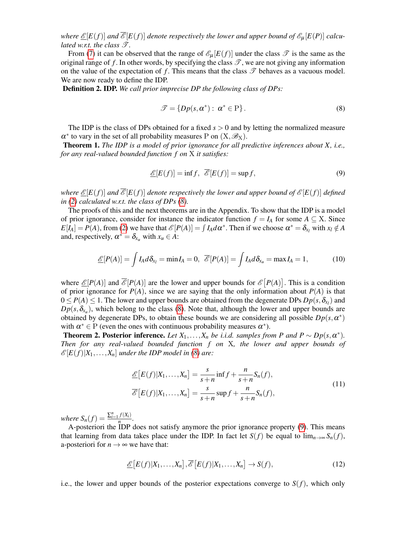*where*  $\mathscr{E}[E(f)]$  and  $\overline{\mathscr{E}}[E(f)]$  denote respectively the lower and upper bound of  $\mathscr{E}_{\mu}[E(P)]$  calcu*lated w.r.t. the class*  $\mathscr{T}$ *.* 

From [\(7\)](#page-5-0) it can be observed that the range of  $\mathscr{E}_{\mu}[E(f)]$  under the class  $\mathscr{T}$  is the same as the original range of f. In other words, by specifying the class  $\mathscr{T}$ , we are not giving any information on the value of the expectation of f. This means that the class  $\mathscr T$  behaves as a vacuous model. We are now ready to define the IDP.

Definition 2. IDP. *We call prior imprecise DP the following class of DPs:*

<span id="page-6-3"></span><span id="page-6-0"></span>
$$
\mathcal{T} = \{Dp(s, \alpha^*) : \alpha^* \in \mathbf{P}\}.
$$
\n(8)

The IDP is the class of DPs obtained for a fixed *s* > 0 and by letting the normalized measure  $\alpha^*$  to vary in the set of all probability measures P on  $(X,\mathscr{B}_X)$ .

Theorem 1. *The IDP is a model of prior ignorance for all predictive inferences about X, i.e., for any real-valued bounded function f on* X *it satisfies:*

<span id="page-6-1"></span>
$$
\underline{\mathscr{E}}[E(f)] = \inf f, \ \overline{\mathscr{E}}[E(f)] = \sup f,\tag{9}
$$

*where*  $\underline{\mathcal{E}}[E(f)]$  *and*  $\overline{\mathcal{E}}[E(f)]$  *denote respectively the lower and upper bound of*  $\mathcal{E}[E(f)]$  *defined in [\(2\)](#page-3-2) calculated w.r.t. the class of DPs [\(8\)](#page-6-0).*

The proofs of this and the next theorems are in the Appendix. To show that the IDP is a model of prior ignorance, consider for instance the indicator function  $f = I_A$  for some  $A \subseteq X$ . Since  $E[I_A] = P(A)$ , from [\(2\)](#page-3-2) we have that  $\mathcal{E}[P(A)] = \int I_A d\alpha^*$ . Then if we choose  $\alpha^* = \delta_{x_i}$  with  $x_i \notin A$ and, respectively,  $\alpha^* = \delta_{x_u}$  with  $x_u \in A$ :

$$
\underline{\mathscr{E}}[P(A)] = \int I_A d\delta_{x_l} = \min I_A = 0, \ \overline{\mathscr{E}}[P(A)] = \int I_A d\delta_{x_u} = \max I_A = 1, \tag{10}
$$

where  $\mathcal{L}[P(A)]$  and  $\mathcal{L}[P(A)]$  are the lower and upper bounds for  $\mathcal{L}[P(A)]$ . This is a condition of prior ignorance for  $P(A)$ , since we are saying that the only information about  $P(A)$  is that  $0 \le P(A) \le 1$ . The lower and upper bounds are obtained from the degenerate DPs  $Dp(s, \delta_{x_l})$  and  $Dp(s, \delta_{x_u})$ , which belong to the class [\(8\)](#page-6-0). Note that, although the lower and upper bounds are obtained by degenerate DPs, to obtain these bounds we are considering all possible  $Dp(s, \alpha^*)$ with  $\alpha^* \in P$  (even the ones with continuous probability measures  $\alpha^*$ ).

<span id="page-6-4"></span>**Theorem 2. Posterior inference.** Let  $X_1, \ldots, X_n$  be i.i.d. samples from P and  $P \sim Dp(s, \alpha^*)$ . *Then for any real-valued bounded function f on* X*, the lower and upper bounds of*  $\mathscr{E}[E(f)|X_1,\ldots,X_n]$  *under the IDP model in [\(8\)](#page-6-0) are:* 

<span id="page-6-2"></span>
$$
\underline{\mathcal{E}}[E(f)|X_1,\ldots,X_n] = \frac{s}{s+n} \inf f + \frac{n}{s+n} S_n(f),
$$
  

$$
\overline{\mathcal{E}}[E(f)|X_1,\ldots,X_n] = \frac{s}{s+n} \sup f + \frac{n}{s+n} S_n(f),
$$
 (11)

*where*  $S_n(f) = \frac{\sum_{i=1}^n f(X_i)}{n}$  $\frac{f(\Lambda_i)}{n}$ .

A-posteriori the IDP does not satisfy anymore the prior ignorance property [\(9\)](#page-6-1). This means that learning from data takes place under the IDP. In fact let  $S(f)$  be equal to  $\lim_{n\to\infty} S_n(f)$ , a-posteriori for  $n \to \infty$  we have that:

$$
\underline{\mathcal{E}}\big[E(f)|X_1,\ldots,X_n\big],\overline{\mathcal{E}}\big[E(f)|X_1,\ldots,X_n\big]\to S(f),\tag{12}
$$

i.e., the lower and upper bounds of the posterior expectations converge to  $S(f)$ , which only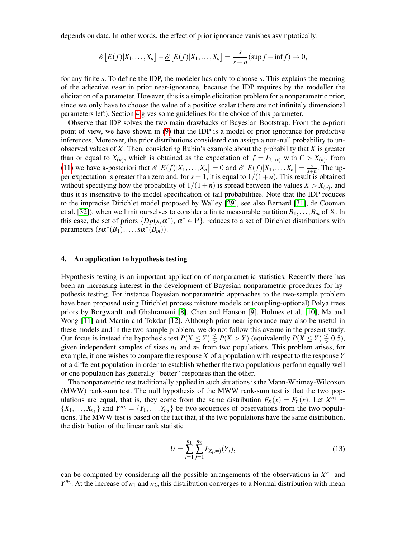depends on data. In other words, the effect of prior ignorance vanishes asymptotically:

$$
\overline{\mathcal{E}}\big[E(f)|X_1,\ldots,X_n\big]-\underline{\mathcal{E}}\big[E(f)|X_1,\ldots,X_n\big]=\frac{s}{s+n}(\sup f-\inf f)\to 0,
$$

for any finite *s*. To define the IDP, the modeler has only to choose *s*. This explains the meaning of the adjective *near* in prior near-ignorance, because the IDP requires by the modeller the elicitation of a parameter. However, this is a simple elicitation problem for a nonparametric prior, since we only have to choose the value of a positive scalar (there are not infinitely dimensional parameters left). Section [4](#page-7-0) gives some guidelines for the choice of this parameter.

Observe that IDP solves the two main drawbacks of Bayesian Bootstrap. From the a-priori point of view, we have shown in [\(9\)](#page-6-1) that the IDP is a model of prior ignorance for predictive inferences. Moreover, the prior distributions considered can assign a non-null probability to unobserved values of *X*. Then, considering Rubin's example about the probability that *X* is greater than or equal to  $X_{(n)}$ , which is obtained as the expectation of  $f = I_{[C,\infty)}$  with  $C > X_{(n)}$ , from [\(11\)](#page-6-2) we have a-posteriori that  $\underline{\mathcal{E}}[E(f)|X_1,\ldots,X_n] = 0$  and  $\overline{\mathcal{E}}[E(f)|X_1,\ldots,X_n] = \frac{s}{s+1}$  $\frac{s}{s+n}$ . The upper expectation is greater than zero and, for  $s = 1$ , it is equal to  $1/(1+n)$ . This result is obtained without specifying how the probability of  $1/(1+n)$  is spread between the values  $X > X_{(n)}$ , and thus it is insensitive to the model specification of tail probabilities. Note that the IDP reduces to the imprecise Dirichlet model proposed by Walley [\[29\]](#page-22-26), see also Bernard [\[31\]](#page-22-28), de Cooman et al. [\[32\]](#page-22-29)), when we limit ourselves to consider a finite measurable partition  $B_1, \ldots, B_m$  of X. In this case, the set of priors  $\{Dp(s, \alpha^*)$ ,  $\alpha^* \in P\}$ , reduces to a set of Dirichlet distributions with parameters  $(s\alpha^*(B_1), \ldots, s\alpha^*(B_m)).$ 

### <span id="page-7-0"></span>4. An application to hypothesis testing

Hypothesis testing is an important application of nonparametric statistics. Recently there has been an increasing interest in the development of Bayesian nonparametric procedures for hypothesis testing. For instance Bayesian nonparametric approaches to the two-sample problem have been proposed using Dirichlet process mixture models or (coupling-optional) Polya trees priors by Borgwardt and Ghahramani [\[8\]](#page-22-5), Chen and Hanson [\[9\]](#page-22-6), Holmes et al. [\[10\]](#page-22-7), Ma and Wong [\[11\]](#page-22-8) and Martin and Tokdar [\[12\]](#page-22-9). Although prior near-ignorance may also be useful in these models and in the two-sample problem, we do not follow this avenue in the present study. Our focus is instead the hypothesis test  $P(X \le Y) \le P(X > Y)$  (equivalently  $P(X \le Y) \le 0.5$ ), given independent samples of sizes  $n_1$  and  $n_2$  from two populations. This problem arises, for example, if one wishes to compare the response *X* of a population with respect to the response *Y* of a different population in order to establish whether the two populations perform equally well or one population has generally "better" responses than the other.

The nonparametric test traditionally applied in such situations is the Mann-Whitney-Wilcoxon (MWW) rank-sum test. The null hypothesis of the MWW rank-sum test is that the two populations are equal, that is, they come from the same distribution  $F_X(x) = F_Y(x)$ . Let  $X^{n_1} =$  $\{X_1, \ldots, X_{n_1}\}\$  and  $Y^{n_2} = \{Y_1, \ldots, Y_{n_2}\}\$  be two sequences of observations from the two populations. The MWW test is based on the fact that, if the two populations have the same distribution, the distribution of the linear rank statistic

<span id="page-7-1"></span>
$$
U = \sum_{i=1}^{n_1} \sum_{j=1}^{n_2} I_{[X_i, \infty)}(Y_j),
$$
\n(13)

can be computed by considering all the possible arrangements of the observations in  $X^{n_1}$  and  $Y^{n_2}$ . At the increase of  $n_1$  and  $n_2$ , this distribution converges to a Normal distribution with mean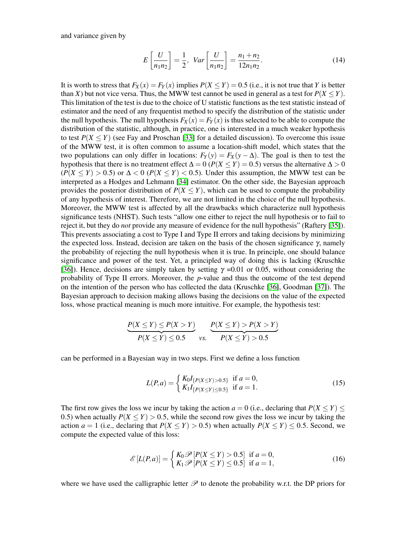and variance given by

$$
E\left[\frac{U}{n_1 n_2}\right] = \frac{1}{2}, \quad Var\left[\frac{U}{n_1 n_2}\right] = \frac{n_1 + n_2}{12 n_1 n_2}.
$$
 (14)

It is worth to stress that  $F_X(x) = F_Y(x)$  implies  $P(X \le Y) = 0.5$  (i.e., it is not true that *Y* is better than *X*) but not vice versa. Thus, the MWW test cannot be used in general as a test for  $P(X \le Y)$ . This limitation of the test is due to the choice of U statistic functions as the test statistic instead of estimator and the need of any frequentist method to specify the distribution of the statistic under the null hypothesis. The null hypothesis  $F_X(x) = F_Y(x)$  is thus selected to be able to compute the distribution of the statistic, although, in practice, one is interested in a much weaker hypothesis to test  $P(X \le Y)$  (see Fay and Proschan [\[33\]](#page-23-0) for a detailed discussion). To overcome this issue of the MWW test, it is often common to assume a location-shift model, which states that the two populations can only differ in locations:  $F_Y(y) = F_X(y - \Delta)$ . The goal is then to test the hypothesis that there is no treatment effect  $\Delta = 0$  ( $P(X \le Y) = 0.5$ ) versus the alternative  $\Delta > 0$  $(P(X \le Y) > 0.5)$  or  $\Delta < 0$  ( $P(X \le Y) < 0.5$ ). Under this assumption, the MWW test can be interpreted as a Hodges and Lehmann [\[34\]](#page-23-1) estimator. On the other side, the Bayesian approach provides the posterior distribution of  $P(X \leq Y)$ , which can be used to compute the probability of any hypothesis of interest. Therefore, we are not limited in the choice of the null hypothesis. Moreover, the MWW test is affected by all the drawbacks which characterize null hypothesis significance tests (NHST). Such tests "allow one either to reject the null hypothesis or to fail to reject it, but they do *not* provide any measure of evidence for the null hypothesis" (Raftery [\[35\]](#page-23-2)). This prevents associating a cost to Type I and Type II errors and taking decisions by minimizing the expected loss. Instead, decision are taken on the basis of the chosen significance  $\gamma$ , namely the probability of rejecting the null hypothesis when it is true. In principle, one should balance significance and power of the test. Yet, a principled way of doing this is lacking (Kruschke [\[36\]](#page-23-3)). Hence, decisions are simply taken by setting  $\gamma = 0.01$  or 0.05, without considering the probability of Type II errors. Moreover, the *p*-value and thus the outcome of the test depend on the intention of the person who has collected the data (Kruschke [\[36\]](#page-23-3), Goodman [\[37\]](#page-23-4)). The Bayesian approach to decision making allows basing the decisions on the value of the expected loss, whose practical meaning is much more intuitive. For example, the hypothesis test:

$$
\underbrace{P(X \le Y) \le P(X > Y)}_{P(X \le Y) \le 0.5}
$$
\n
$$
\underbrace{P(X \le Y) > P(X > Y)}_{Vs} \cdot \underbrace{P(X \le Y) > 0.5}
$$

can be performed in a Bayesian way in two steps. First we define a loss function

<span id="page-8-0"></span>
$$
L(P,a) = \begin{cases} K_0 I_{\{P(X \le Y) > 0.5\}} & \text{if } a = 0, \\ K_1 I_{\{P(X \le Y) \le 0.5\}} & \text{if } a = 1. \end{cases} \tag{15}
$$

The first row gives the loss we incur by taking the action  $a = 0$  (i.e., declaring that  $P(X \le Y)$ ) 0.5) when actually  $P(X \leq Y) > 0.5$ , while the second row gives the loss we incur by taking the action  $a = 1$  (i.e., declaring that  $P(X \le Y) > 0.5$ ) when actually  $P(X \le Y) \le 0.5$ . Second, we compute the expected value of this loss:

$$
\mathcal{E}\left[L(P,a)\right] = \begin{cases} K_0 \mathcal{P}\left[P(X \le Y) > 0.5\right] & \text{if } a = 0, \\ K_1 \mathcal{P}\left[P(X \le Y) \le 0.5\right] & \text{if } a = 1, \end{cases} \tag{16}
$$

where we have used the calligraphic letter  $\mathscr P$  to denote the probability w.r.t. the DP priors for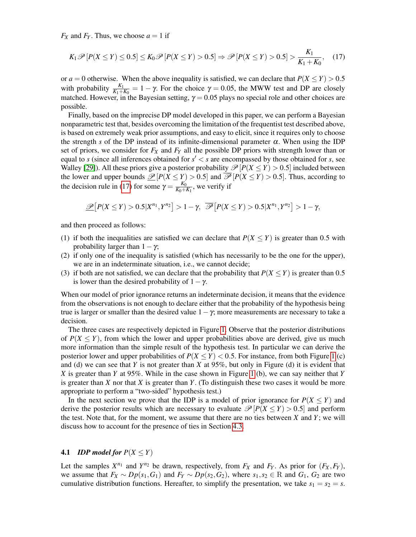$F_X$  and  $F_Y$ . Thus, we choose  $a = 1$  if

<span id="page-9-0"></span>
$$
K_1 \mathscr{P}[P(X \le Y) \le 0.5] \le K_0 \mathscr{P}[P(X \le Y) > 0.5] \Rightarrow \mathscr{P}[P(X \le Y) > 0.5] > \frac{K_1}{K_1 + K_0},\tag{17}
$$

or  $a = 0$  otherwise. When the above inequality is satisfied, we can declare that  $P(X \le Y) > 0.5$ with probability  $\frac{K_1}{K_1+K_0} = 1 - \gamma$ . For the choice  $\gamma = 0.05$ , the MWW test and DP are closely matched. However, in the Bayesian setting,  $\gamma = 0.05$  plays no special role and other choices are possible.

Finally, based on the imprecise DP model developed in this paper, we can perform a Bayesian nonparametric test that, besides overcoming the limitation of the frequentist test described above, is based on extremely weak prior assumptions, and easy to elicit, since it requires only to choose the strength *s* of the DP instead of its infinite-dimensional parameter  $\alpha$ . When using the IDP set of priors, we consider for *F<sup>X</sup>* and *F<sup>Y</sup>* all the possible DP priors with strength lower than or equal to *s* (since all inferences obtained for  $s' < s$  are encompassed by those obtained for *s*, see Walley [\[29\]](#page-22-26)). All these priors give a posterior probability  $\mathcal{P}[P(X \leq Y) > 0.5]$  included between the lower and upper bounds  $\mathcal{P}[P(X \leq Y) > 0.5]$  and  $\mathcal{P}[P(X \leq Y) > 0.5]$ . Thus, according to the decision rule in [\(17\)](#page-9-0) for some  $\gamma = \frac{K_0}{K_0 + K_0}$  $\frac{K_0}{K_0+K_1}$ , we verify if

$$
\mathscr{P}\big[P(X\leq Y)>0.5|X^{n_1},Y^{n_2}\big]>1-\gamma,\ \overline{\mathscr{P}}\big[P(X\leq Y)>0.5|X^{n_1},Y^{n_2}\big]>1-\gamma,
$$

and then proceed as follows:

- (1) if both the inequalities are satisfied we can declare that  $P(X \le Y)$  is greater than 0.5 with probability larger than  $1-\gamma$ ;
- (2) if only one of the inequality is satisfied (which has necessarily to be the one for the upper), we are in an indeterminate situation, i.e., we cannot decide;
- (3) if both are not satisfied, we can declare that the probability that  $P(X \le Y)$  is greater than 0.5 is lower than the desired probability of  $1-\gamma$ .

When our model of prior ignorance returns an indeterminate decision, it means that the evidence from the observations is not enough to declare either that the probability of the hypothesis being true is larger or smaller than the desired value  $1-\gamma$ ; more measurements are necessary to take a decision.

The three cases are respectively depicted in Figure [1.](#page-10-0) Observe that the posterior distributions of  $P(X \leq Y)$ , from which the lower and upper probabilities above are derived, give us much more information than the simple result of the hypothesis test. In particular we can derive the posterior lower and upper probabilities of  $P(X \le Y) < 0.5$ . For instance, from both Figure [1](#page-10-0) (c) and (d) we can see that *Y* is not greater than *X* at 95%, but only in Figure (d) it is evident that *X* is greater than *Y* at 95%. While in the case shown in Figure [1](#page-10-0) (b), we can say neither that *Y* is greater than *X* nor that *X* is greater than *Y*. (To distinguish these two cases it would be more appropriate to perform a "two-sided" hypothesis test.)

In the next section we prove that the IDP is a model of prior ignorance for  $P(X \le Y)$  and derive the posterior results which are necessary to evaluate  $\mathcal{P}[P(X \leq Y) > 0.5]$  and perform the test. Note that, for the moment, we assume that there are no ties between *X* and *Y*; we will discuss how to account for the presence of ties in Section [4.3.](#page-13-0)

# **4.1** *IDP* model for  $P(X \leq Y)$

Let the samples  $X^{n_1}$  and  $Y^{n_2}$  be drawn, respectively, from  $F_X$  and  $F_Y$ . As prior for  $(F_X, F_Y)$ , we assume that  $F_X \sim Dp(s_1, G_1)$  and  $F_Y \sim Dp(s_2, G_2)$ , where  $s_1, s_2 \in \mathbb{R}$  and  $G_1, G_2$  are two cumulative distribution functions. Hereafter, to simplify the presentation, we take  $s_1 = s_2 = s$ .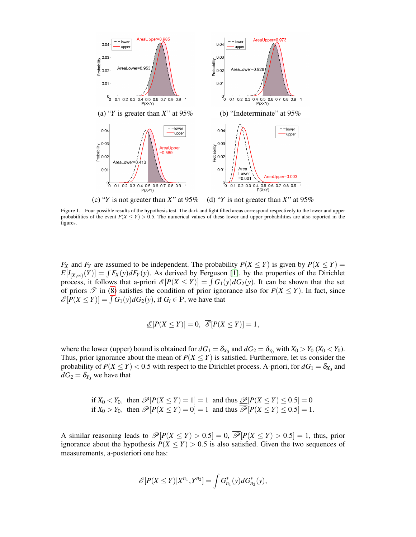

<span id="page-10-0"></span>Figure 1. Four possible results of the hypothesis test. The dark and light filled areas correspond respectively to the lower and upper probabilities of the event  $P(X \le Y) > 0.5$ . The numerical values of these lower and upper probabilities are also reported in the figures.

*F<sub>X</sub>* and *F<sub>Y</sub>* are assumed to be independent. The probability  $P(X \le Y)$  is given by  $P(X \le Y)$  $E[I_{[X,\infty)}(Y)] = \int F_X(y) dF_Y(y)$ . As derived by Ferguson [\[1\]](#page-21-0), by the properties of the Dirichlet process, it follows that a-priori  $\mathcal{E}[P(X \leq Y)] = \int G_1(y) dG_2(y)$ . It can be shown that the set of priors  $\mathscr T$  in [\(8\)](#page-6-0) satisfies the condition of prior ignorance also for  $P(X \le Y)$ . In fact, since  $\mathscr{E}[P(X \le Y)] = \int G_1(y) dG_2(y)$ , if  $G_i \in \mathbb{P}$ , we have that

$$
\mathcal{E}[P(X \le Y)] = 0, \quad \mathcal{E}[P(X \le Y)] = 1,
$$

where the lower (upper) bound is obtained for  $dG_1 = \delta_{X_0}$  and  $dG_2 = \delta_{Y_0}$  with  $X_0 > Y_0$  ( $X_0 < Y_0$ ). Thus, prior ignorance about the mean of  $P(X \le Y)$  is satisfied. Furthermore, let us consider the probability of  $P(X \le Y) < 0.5$  with respect to the Dirichlet process. A-priori, for  $dG_1 = \delta_{X_0}$  and  $dG_2 = \delta_{Y_0}$  we have that

if 
$$
X_0 < Y_0
$$
, then  $\mathcal{P}[P(X \le Y) = 1] = 1$  and thus  $\mathcal{P}[P(X \le Y) \le 0.5] = 0$   
if  $X_0 > Y_0$ , then  $\mathcal{P}[P(X \le Y) = 0] = 1$  and thus  $\mathcal{P}[P(X \le Y) \le 0.5] = 1$ .

A similar reasoning leads to  $\mathcal{P}[P(X \leq Y) > 0.5] = 0$ ,  $\overline{\mathcal{P}}[P(X \leq Y) > 0.5] = 1$ , thus, prior ignorance about the hypothesis  $P(X \leq Y) > 0.5$  is also satisfied. Given the two sequences of measurements, a-posteriori one has:

$$
\mathscr{E}[P(X \le Y) | X^{n_1}, Y^{n_2}] = \int G_{n_1}^*(y) dG_{n_2}^*(y),
$$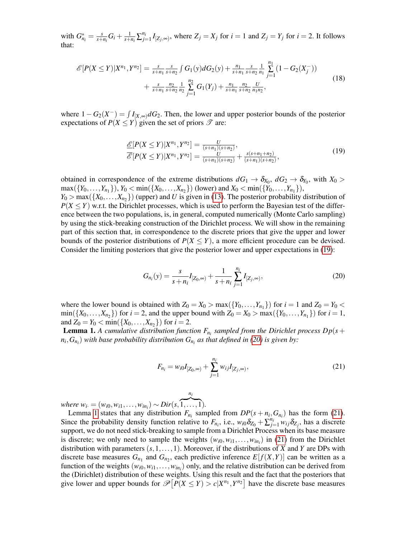with  $G_{n_i}^* = \frac{s}{s+1}$  $\frac{s}{s+n_i}G_i+\frac{1}{s+n_i}\sum_{j=1}^{n_i}I_{[Z_j,\infty)}$ , where  $Z_j=X_j$  for  $i=1$  and  $Z_j=Y_j$  for  $i=2$ . It follows that:

$$
\mathcal{E}[P(X \le Y)|X^{n_1}, Y^{n_2}] = \frac{s}{s+n_1} \frac{s}{s+n_2} \int G_1(y) dG_2(y) + \frac{n_1}{s+n_1} \frac{s}{s+n_2} \frac{1}{n_1} \sum_{j=1}^{n_1} (1 - G_2(X_j^{-})) + \frac{s}{s+n_1} \frac{n_2}{s+n_2} \frac{1}{n_2} \sum_{j=1}^{n_2} G_1(Y_j) + \frac{n_1}{s+n_1} \frac{n_2}{s+n_2} \frac{U}{n_1 n_2},
$$
\n(18)

where  $1 - G_2(X^-) = \int I_{[X,\infty)} dG_2$ . Then, the lower and upper posterior bounds of the posterior expectations of  $P(X \le Y)$  given the set of priors  $\mathscr T$  are:

<span id="page-11-0"></span>
$$
\frac{\mathcal{E}}{\mathcal{E}}[P(X \le Y)|X^{n_1}, Y^{n_2}] = \frac{U}{(s+n_1)(s+n_2)},\n\overline{\mathcal{E}}[P(X \le Y)|X^{n_1}, Y^{n_2}] = \frac{U}{(s+n_1)(s+n_2)} + \frac{s(s+n_1+n_2)}{(s+n_1)(s+n_2)},
$$
\n(19)

obtained in correspondence of the extreme distributions  $dG_1 \rightarrow \delta_{X_0}$ ,  $dG_2 \rightarrow \delta_{Y_0}$ , with  $X_0 >$  $\max({Y_0, ..., Y_{n_1}})$ ,  $Y_0 < \min({X_0, ..., X_{n_2}})$  (lower) and  $X_0 < \min({Y_0, ..., Y_{n_1}})$ ,  $Y_0 > \max(\{X_0, \ldots, X_{n_2}\})$  (upper) and *U* is given in [\(13\)](#page-7-1). The posterior probability distribution of  $P(X \leq Y)$  w.r.t. the Dirichlet processes, which is used to perform the Bayesian test of the difference between the two populations, is, in general, computed numerically (Monte Carlo sampling) by using the stick-breaking construction of the Dirichlet process. We will show in the remaining part of this section that, in correspondence to the discrete priors that give the upper and lower bounds of the posterior distributions of  $P(X \leq Y)$ , a more efficient procedure can be devised. Consider the limiting posteriors that give the posterior lower and upper expectations in [\(19\)](#page-11-0):

<span id="page-11-1"></span>
$$
G_{n_i}(y) = \frac{s}{s + n_i} I_{[Z_0, \infty)} + \frac{1}{s + n_i} \sum_{j=1}^{n_i} I_{[Z_j, \infty)},
$$
\n(20)

where the lower bound is obtained with  $Z_0 = X_0 > \max(\lbrace Y_0, \ldots, Y_{n_1} \rbrace)$  for  $i = 1$  and  $Z_0 = Y_0 <$  $\min({X_0, ..., X_{n_2}})$  for  $i = 2$ , and the upper bound with  $Z_0 = X_0 > \max({Y_0, ..., Y_{n_1}})$  for  $i = 1$ , and  $Z_0 = Y_0 < \min(\{X_0, \ldots, X_{n_2}\})$  for  $i = 2$ .

<span id="page-11-2"></span>**Lemma 1.** A cumulative distribution function  $F_{n_i}$  sampled from the Dirichlet process  $Dp(s+)$  $n_i$ , $G_{n_i}$ ) with base probability distribution  $G_{n_i}$  as that defined in [\(20\)](#page-11-1) is given by:

<span id="page-11-3"></span>
$$
F_{n_i} = w_{i0} I_{[Z_0, \infty)} + \sum_{j=1}^{n_i} w_{ij} I_{[Z_j, \infty)},
$$
\n(21)

 $where w_i = (w_{i0}, w_{i1}, \ldots, w_{in_i}) \sim Dir(s, \overbrace{1, \ldots, 1}).$ 

Lemma [1](#page-11-2) states that any distribution  $F_{n_i}$  sampled from  $DP(s + n_i, G_{n_i})$  has the form [\(21\)](#page-11-3). Since the probability density function relative to  $F_{n_i}$ , i.e.,  $w_{i0}\delta_{Z_0} + \sum_{j=1}^{n_i} w_{ij}\delta_{Z_j}$ , has a discrete support, we do not need stick-breaking to sample from a Dirichlet Process when its base measure is discrete; we only need to sample the weights  $(w_{i0}, w_{i1}, \ldots, w_{in_i})$  in [\(21\)](#page-11-3) from the Dirichlet distribution with parameters (*s*,1,...,1). Moreover, if the distributions of *X* and *Y* are DPs with discrete base measures  $G_{n_1}$  and  $G_{n_2}$ , each predictive inference  $E[f(X, Y)]$  can be written as a function of the weights  $(w_{i0}, w_{i1}, \ldots, w_{in_i})$  only, and the relative distribution can be derived from the (Dirichlet) distribution of these weights. Using this result and the fact that the posteriors that give lower and upper bounds for  $\mathcal{P}[P(X \leq Y) > c | X^{n_1}, Y^{n_2}]$  have the discrete base measures

*ni*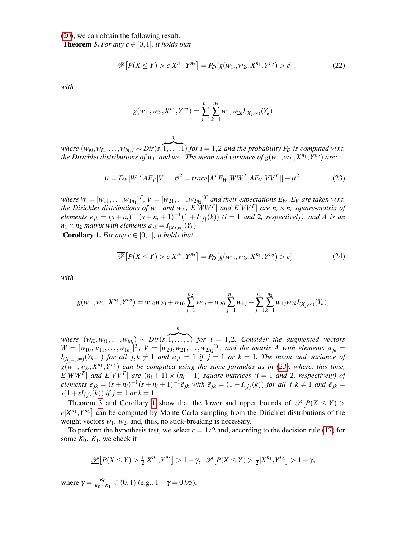[\(20\)](#page-11-1), we can obtain the following result.

<span id="page-12-1"></span>**Theorem 3.** For any  $c \in [0,1]$ , it holds that

$$
\mathcal{D}\big[P(X \le Y) > c | X^{n_1}, Y^{n_2}\big] = P_D\big[g(w_1, w_2, X^{n_1}, Y^{n_2}) > c\big],\tag{22}
$$

*with*

$$
g(w_1, w_2, X^{n_1}, Y^{n_2}) = \sum_{j=1}^{n_1} \sum_{k=1}^{n_2} w_{1j} w_{2k} I_{(X_j, \infty)}(Y_k)
$$

 $(w_{i0}, w_{i1}, \ldots, w_{in_i})$  *∼*  $Dir(s, \overbrace{1, \ldots, 1})$  *<i>for*  $i = 1, 2$  *and the probability P<sub>D</sub> is computed w.r.t.* the Dirichlet distributions of  $w_1$ . and  $w_2$ . The mean and variance of  $g(w_1, w_2, X^{n_1}, Y^{n_2})$  are:

*ni*

<span id="page-12-0"></span>
$$
\mu = E_W[W]^T A E_V[V], \quad \sigma^2 = trace[A^T E_W[WW^T] A E_V[VV^T]] - \mu^2,
$$
\n(23)

where  $W = [w_{11}, \ldots, w_{1n_1}]^T$ ,  $V = [w_{21}, \ldots, w_{2n_2}]^T$  and their expectations  $E_W, E_V$  are taken w.r.t. the Dirichlet distributions of  $w_1$ , and  $w_2$ ,  $E[\overline{W}W^T]$  and  $E[VV^T]$  are  $n_i \times n_i$  square-matrix of *elements*  $e_{jk} = (s + n_i)^{-1}(s + n_i + 1)^{-1}(1 + I_{\{j\}}(k))$  (*i* = 1 *and* 2, *respectively*), and A is an  $n_1 \times n_2$  *matrix with elements*  $a_{jk} = I_{(X_j,\infty)}(Y_k)$ *.* 

<span id="page-12-2"></span>**Corollary 1.** *For any*  $c \in [0,1]$ *, it holds that* 

$$
\overline{\mathscr{P}}\big[P(X \le Y) > c|X^{n_1}, Y^{n_2}\big] = P_D\big[g(w_1, w_2, X^{n_1}, Y^{n_2}) > c\big],\tag{24}
$$

*with*

$$
g(w_1, w_2, X^{n_1}, Y^{n_2}) = w_{10}w_{20} + w_{10} \sum_{j=1}^{n_2} w_{2j} + w_{20} \sum_{j=1}^{n_1} w_{1j} + \sum_{j=1}^{n_1} \sum_{k=1}^{n_2} w_{1j}w_{2k}I_{(X_j, \infty)}(Y_k),
$$

 $where \ (w_{i0}, w_{i1}, \ldots, w_{in_i}) \sim Dir(s, \overline{1, \ldots, 1}) \ for \ i = 1, 2.$  Consider the augmented vectors *ni*  $W = [w_{10}, w_{11}, \ldots, w_{1n_1}]^T$ ,  $V = [w_{20}, w_{21}, \ldots, w_{2n_2}]^T$ , and the matrix A with elements  $a_{jk}$ *I*<sub>(*X*<sub>*j*−1</sub>,∞)</sub>(*Y*<sub>*k*−1</sub>) *for all j*, $k \neq 1$  *and a*<sub>*jk*</sub> = 1 *if j* = 1 *or k* = 1*. The mean and variance of*  $g(w_1, w_2, X^{n_1}, Y^{n_2})$  can be computed using the same formulas as in [\(23\)](#page-12-0), where, this time,  $E[WW^T]$  *and*  $E[VV^T]$  *are*  $(n_i + 1) \times (n_i + 1)$  *square-matrices* (*i* = 1 *and* 2*, respectively) of* elements  $e_{jk} = (s + n_i)^{-1}(s + n_i + 1)^{-1}\tilde{e}_{jk}$  with  $\tilde{e}_{jk} = (1 + I_{\{j\}}(k))$  for all  $j, k \neq 1$  and  $\tilde{e}_{jk} =$  $s(1+sI_{\{j\}}(k))$  *if*  $j=1$  *or*  $k=1$ *.* 

Theorem [3](#page-12-1) and Corollary [1](#page-12-2) show that the lower and upper bounds of  $\mathcal{P}[P(X \leq Y) >$  $c|X^{n_1}, Y^{n_2}|$  can be computed by Monte Carlo sampling from the Dirichlet distributions of the weight vectors  $w_1, w_2$  and, thus, no stick-breaking is necessary.

To perform the hypothesis test, we select  $c = 1/2$  and, according to the decision rule [\(17\)](#page-9-0) for some  $K_0$ ,  $K_1$ , we check if

$$
\mathscr{D}\big[P(X \leq Y) > \frac{1}{2}|X^{n_1}, Y^{n_2}\big] > 1 - \gamma, \quad \overline{\mathscr{P}}\big[P(X \leq Y) > \frac{1}{2}|X^{n_1}, Y^{n_2}\big] > 1 - \gamma,
$$

where  $\gamma = \frac{K_0}{K_0 + R}$  $\frac{K_0}{K_0+K_1} \in (0,1)$  (e.g.,  $1-\gamma = 0.95$ ).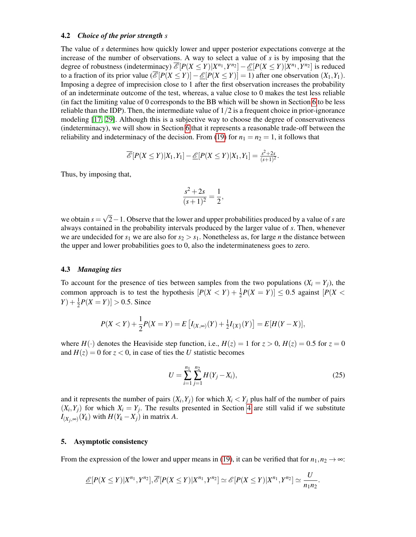#### 4.2 *Choice of the prior strength s*

The value of *s* determines how quickly lower and upper posterior expectations converge at the increase of the number of observations. A way to select a value of *s* is by imposing that the degree of robustness (indeterminacy)  $\overline{\mathcal{E}}[P(X \leq Y)|X^{n_1}, Y^{n_2}] - \underline{\mathcal{E}}[P(X \leq Y)|X^{n_1}, Y^{n_2}]$  is reduced to a fraction of its prior value  $\left(\frac{\partial F}{\partial Y}(X \leq Y)\right] - \frac{\partial F}{\partial Y}(X \leq Y)\right] = 1$ ) after one observation  $(X_1, Y_1)$ . Imposing a degree of imprecision close to 1 after the first observation increases the probability of an indeterminate outcome of the test, whereas, a value close to 0 makes the test less reliable (in fact the limiting value of 0 corresponds to the BB which will be shown in Section [6](#page-14-0) to be less reliable than the IDP). Then, the intermediate value of  $1/2$  is a frequent choice in prior-ignorance modeling [\[17,](#page-22-14) [29\]](#page-22-26). Although this is a subjective way to choose the degree of conservativeness (indeterminacy), we will show in Section [6](#page-14-0) that it represents a reasonable trade-off between the reliability and indeterminacy of the decision. From [\(19\)](#page-11-0) for  $n_1 = n_2 = 1$ , it follows that

$$
\overline{\mathcal{E}}[P(X \leq Y)|X_1,Y_1] - \underline{\mathcal{E}}[P(X \leq Y)|X_1,Y_1] = \frac{s^2+2s}{(s+1)^2}.
$$

Thus, by imposing that,

$$
\frac{s^2 + 2s}{(s+1)^2} = \frac{1}{2},
$$

we obtain  $s =$ √ 2−1. Observe that the lower and upper probabilities produced by a value of *s* are always contained in the probability intervals produced by the larger value of *s*. Then, whenever we are undecided for  $s_1$  we are also for  $s_2 > s_1$ . Nonetheless as, for large *n* the distance between the upper and lower probabilities goes to 0, also the indeterminateness goes to zero.

# <span id="page-13-0"></span>4.3 *Managing ties*

To account for the presence of ties between samples from the two populations  $(X_i = Y_j)$ , the common approach is to test the hypothesis  $[P(X < Y) + \frac{1}{2}P(X = Y)] \le 0.5$  against  $[P(X < Y) + \frac{1}{2}P(X = Y)]$  $(Y) + \frac{1}{2}P(X = Y) > 0.5$ . Since

$$
P(X < Y) + \frac{1}{2}P(X = Y) = E[I_{(X,\infty)}(Y) + \frac{1}{2}I_{\{X\}}(Y)] = E[H(Y - X)],
$$

where  $H(\cdot)$  denotes the Heaviside step function, i.e.,  $H(z) = 1$  for  $z > 0$ ,  $H(z) = 0.5$  for  $z = 0$ and  $H(z) = 0$  for  $z < 0$ , in case of ties the *U* statistic becomes

$$
U = \sum_{i=1}^{n_1} \sum_{j=1}^{n_2} H(Y_j - X_i),
$$
\n(25)

.

and it represents the number of pairs  $(X_i, Y_j)$  for which  $X_i \le Y_j$  plus half of the number of pairs  $(X_i, Y_j)$  for which  $X_i = Y_j$ . The results presented in Section [4](#page-7-0) are still valid if we substitute  $I_{(X_j,\infty)}(Y_k)$  with  $H(Y_k - X_j)$  in matrix *A*.

# 5. Asymptotic consistency

From the expression of the lower and upper means in [\(19\)](#page-11-0), it can be verified that for  $n_1, n_2 \rightarrow \infty$ :

$$
\underline{\mathscr{E}}[P(X \leq Y)|X^{n_1}, Y^{n_2}], \overline{\mathscr{E}}[P(X \leq Y)|X^{n_1}, Y^{n_2}] \simeq \mathscr{E}[P(X \leq Y)|X^{n_1}, Y^{n_2}] \simeq \frac{U}{n_1 n_2}
$$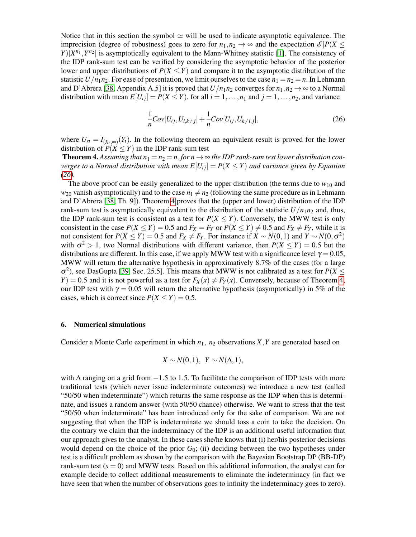Notice that in this section the symbol  $\simeq$  will be used to indicate asymptotic equivalence. The imprecision (degree of robustness) goes to zero for  $n_1, n_2 \rightarrow \infty$  and the expectation  $\mathcal{E}[P(X \leq$  $Y$ ) $|X^{n_1}, Y^{n_2}|$  is asymptotically equivalent to the Mann-Whitney statistic [\[1\]](#page-21-0). The consistency of the IDP rank-sum test can be verified by considering the asymptotic behavior of the posterior lower and upper distributions of  $P(X \leq Y)$  and compare it to the asymptotic distribution of the statistic  $U/n_1n_2$ . For ease of presentation, we limit ourselves to the case  $n_1 = n_2 = n$ . In Lehmann and D'Abrera [\[38,](#page-23-5) Appendix A.5] it is proved that  $U/n_1n_2$  converges for  $n_1, n_2 \rightarrow \infty$  to a Normal distribution with mean  $E[U_{ij}] = P(X \leq Y)$ , for all  $i = 1, ..., n_1$  and  $j = 1, ..., n_2$ , and variance

<span id="page-14-2"></span><span id="page-14-1"></span>
$$
\frac{1}{n}Cov[U_{ij}, U_{i,k \neq j}] + \frac{1}{n}Cov[U_{ij}, U_{k \neq i,j}],
$$
\n(26)

where  $U_{rt} = I_{(X_r, \infty)}(Y_t)$ . In the following theorem an equivalent result is proved for the lower distribution of  $P(X \leq Y)$  in the IDP rank-sum test

**Theorem 4.** Assuming that  $n_1 = n_2 = n$ , for  $n \to \infty$  the IDP rank-sum test lower distribution con*verges to a Normal distribution with mean*  $E[U_{ij}] = P(X \leq Y)$  *and variance given by Equation [\(26\)](#page-14-1).*

The above proof can be easily generalized to the upper distribution (the terms due to  $w_{10}$  and  $w_{20}$  vanish asymptotically) and to the case  $n_1 \neq n_2$  (following the same procedure as in Lehmann and D'Abrera [\[38,](#page-23-5) Th. 9]). Theorem [4](#page-14-2) proves that the (upper and lower) distribution of the IDP rank-sum test is asymptotically equivalent to the distribution of the statistic  $U/n_1n_2$  and, thus, the IDP rank-sum test is consistent as a test for  $P(X \le Y)$ . Conversely, the MWW test is only consistent in the case  $P(X \le Y) = 0.5$  and  $F_X = F_Y$  or  $P(X \le Y) \ne 0.5$  and  $F_X \ne F_Y$ , while it is not consistent for  $P(X \le Y) = 0.5$  and  $F_X \ne F_Y$ . For instance if  $X \sim N(0, 1)$  and  $Y \sim N(0, \sigma^2)$ with  $\sigma^2 > 1$ , two Normal distributions with different variance, then  $P(X \le Y) = 0.5$  but the distributions are different. In this case, if we apply MWW test with a significance level  $\gamma = 0.05$ , MWW will return the alternative hypothesis in approximatively 8.7% of the cases (for a large  $\sigma^2$ ), see DasGupta [\[39,](#page-23-6) Sec. 25.5]. This means that MWW is not calibrated as a test for  $P(X \leq$  $Y$ ) = 0.5 and it is not powerful as a test for  $F_X(x) \neq F_Y(x)$ . Conversely, because of Theorem [4,](#page-14-2) our IDP test with  $\gamma = 0.05$  will return the alternative hypothesis (asymptotically) in 5% of the cases, which is correct since  $P(X \le Y) = 0.5$ .

# <span id="page-14-0"></span>6. Numerical simulations

Consider a Monte Carlo experiment in which  $n_1$ ,  $n_2$  observations  $X, Y$  are generated based on

$$
X \sim N(0,1), Y \sim N(\Delta,1),
$$

with  $\Delta$  ranging on a grid from  $-1.5$  to 1.5. To facilitate the comparison of IDP tests with more traditional tests (which never issue indeterminate outcomes) we introduce a new test (called "50/50 when indeterminate") which returns the same response as the IDP when this is determinate, and issues a random answer (with 50/50 chance) otherwise. We want to stress that the test "50/50 when indeterminate" has been introduced only for the sake of comparison. We are not suggesting that when the IDP is indeterminate we should toss a coin to take the decision. On the contrary we claim that the indeterminacy of the IDP is an additional useful information that our approach gives to the analyst. In these cases she/he knows that (i) her/his posterior decisions would depend on the choice of the prior  $G_0$ ; (ii) deciding between the two hypotheses under test is a difficult problem as shown by the comparison with the Bayesian Bootstrap DP (BB-DP) rank-sum test  $(s = 0)$  and MWW tests. Based on this additional information, the analyst can for example decide to collect additional measurements to eliminate the indeterminacy (in fact we have seen that when the number of observations goes to infinity the indeterminacy goes to zero).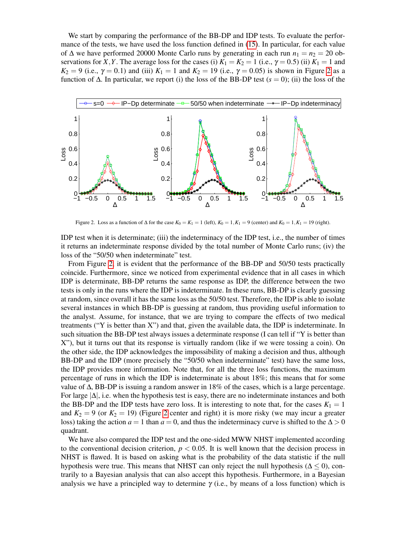We start by comparing the performance of the BB-DP and IDP tests. To evaluate the performance of the tests, we have used the loss function defined in [\(15\)](#page-8-0). In particular, for each value of  $\Delta$  we have performed 20000 Monte Carlo runs by generating in each run  $n_1 = n_2 = 20$  observations for *X*, *Y*. The average loss for the cases (i)  $K_1 = K_2 = 1$  (i.e.,  $\gamma = 0.5$ ) (ii)  $K_1 = 1$  and *K*<sub>2</sub> = 9 (i.e.,  $\gamma$  = 0.1) and (iii) *K*<sub>1</sub> = 1 and *K*<sub>2</sub> = 19 (i.e.,  $\gamma$  = 0.05) is shown in Figure [2](#page-15-0) as a function of  $\Delta$ . In particular, we report (i) the loss of the BB-DP test ( $s = 0$ ); (ii) the loss of the



<span id="page-15-0"></span>Figure 2. Loss as a function of  $\Delta$  for the case  $K_0 = K_1 = 1$  (left),  $K_0 = 1, K_1 = 9$  (center) and  $K_0 = 1, K_1 = 19$  (right).

IDP test when it is determinate; (iii) the indeterminacy of the IDP test, i.e., the number of times it returns an indeterminate response divided by the total number of Monte Carlo runs; (iv) the loss of the "50/50 when indeterminate" test.

From Figure [2,](#page-15-0) it is evident that the performance of the BB-DP and 50/50 tests practically coincide. Furthermore, since we noticed from experimental evidence that in all cases in which IDP is determinate, BB-DP returns the same response as IDP, the difference between the two tests is only in the runs where the IDP is indeterminate. In these runs, BB-DP is clearly guessing at random, since overall it has the same loss as the 50/50 test. Therefore, the IDP is able to isolate several instances in which BB-DP is guessing at random, thus providing useful information to the analyst. Assume, for instance, that we are trying to compare the effects of two medical treatments ("Y is better than X") and that, given the available data, the IDP is indeterminate. In such situation the BB-DP test always issues a determinate response (I can tell if "Y is better than X"), but it turns out that its response is virtually random (like if we were tossing a coin). On the other side, the IDP acknowledges the impossibility of making a decision and thus, although BB-DP and the IDP (more precisely the "50/50 when indeterminate" test) have the same loss, the IDP provides more information. Note that, for all the three loss functions, the maximum percentage of runs in which the IDP is indeterminate is about 18%; this means that for some value of  $\Delta$ , BB-DP is issuing a random answer in 18% of the cases, which is a large percentage. For large  $|\Delta|$ , i.e. when the hypothesis test is easy, there are no indeterminate instances and both the BB-DP and the IDP tests have zero loss. It is interesting to note that, for the cases  $K_1 = 1$ and  $K_2 = 9$  (or  $K_2 = 19$ ) (Figure [2](#page-15-0) center and right) it is more risky (we may incur a greater loss) taking the action  $a = 1$  than  $a = 0$ , and thus the indeterminacy curve is shifted to the  $\Delta > 0$ quadrant.

We have also compared the IDP test and the one-sided MWW NHST implemented according to the conventional decision criterion,  $p < 0.05$ . It is well known that the decision process in NHST is flawed. It is based on asking what is the probability of the data statistic if the null hypothesis were true. This means that NHST can only reject the null hypothesis ( $\Delta \leq 0$ ), contrarily to a Bayesian analysis that can also accept this hypothesis. Furthermore, in a Bayesian analysis we have a principled way to determine  $\gamma$  (i.e., by means of a loss function) which is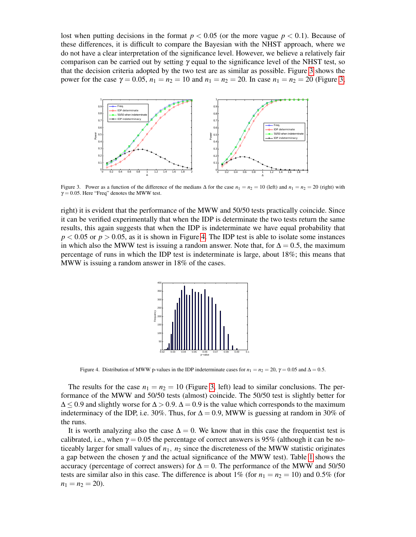lost when putting decisions in the format  $p < 0.05$  (or the more vague  $p < 0.1$ ). Because of these differences, it is difficult to compare the Bayesian with the NHST approach, where we do not have a clear interpretation of the significance level. However, we believe a relatively fair comparison can be carried out by setting  $\gamma$  equal to the significance level of the NHST test, so that the decision criteria adopted by the two test are as similar as possible. Figure [3](#page-16-0) shows the power for the case  $\gamma = 0.05$ ,  $n_1 = n_2 = 10$  and  $n_1 = n_2 = 20$ . In case  $n_1 = n_2 = 20$  (Figure [3,](#page-16-0)



<span id="page-16-0"></span>Figure 3. Power as a function of the difference of the medians  $\Delta$  for the case  $n_1 = n_2 = 10$  (left) and  $n_1 = n_2 = 20$  (right) with  $\gamma = 0.05$ . Here "Freq" denotes the MWW test.

right) it is evident that the performance of the MWW and 50/50 tests practically coincide. Since it can be verified experimentally that when the IDP is determinate the two tests return the same results, this again suggests that when the IDP is indeterminate we have equal probability that  $p < 0.05$  or  $p > 0.05$ , as it is shown in Figure [4.](#page-16-1) The IDP test is able to isolate some instances in which also the MWW test is issuing a random answer. Note that, for  $\Delta = 0.5$ , the maximum percentage of runs in which the IDP test is indeterminate is large, about 18%; this means that MWW is issuing a random answer in 18% of the cases.



<span id="page-16-1"></span>Figure 4. Distribution of MWW p-values in the IDP indeterminate cases for  $n_1 = n_2 = 20$ ,  $\gamma = 0.05$  and  $\Delta = 0.5$ .

The results for the case  $n_1 = n_2 = 10$  (Figure [3,](#page-16-0) left) lead to similar conclusions. The performance of the MWW and 50/50 tests (almost) coincide. The 50/50 test is slightly better for  $\Delta$  < 0.9 and slightly worse for  $\Delta$  > 0.9.  $\Delta$  = 0.9 is the value which corresponds to the maximum indeterminacy of the IDP, i.e. 30%. Thus, for  $\Delta = 0.9$ , MWW is guessing at random in 30% of the runs.

It is worth analyzing also the case  $\Delta = 0$ . We know that in this case the frequentist test is calibrated, i.e., when  $\gamma = 0.05$  the percentage of correct answers is 95% (although it can be noticeably larger for small values of  $n_1$ ,  $n_2$  since the discreteness of the MWW statistic originates a gap between the chosen  $\gamma$  and the actual significance of the MWW test). Table [1](#page-17-0) shows the accuracy (percentage of correct answers) for  $\Delta = 0$ . The performance of the MWW and 50/50 tests are similar also in this case. The difference is about 1% (for  $n_1 = n_2 = 10$ ) and 0.5% (for  $n_1 = n_2 = 20$ .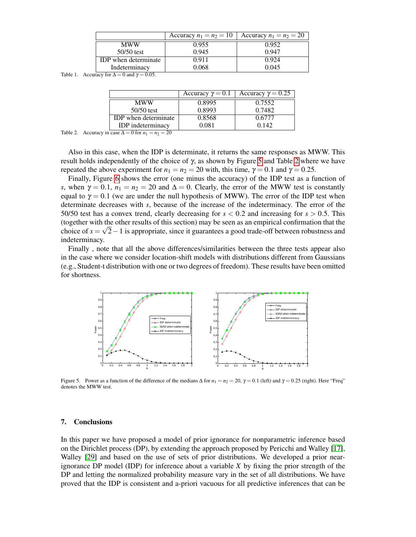|                             | Accuracy $n_1 = n_2 = 10$ | Accuracy $n_1 = n_2 = 20$ |
|-----------------------------|---------------------------|---------------------------|
| <b>MWW</b>                  | 0.955                     | 0.952                     |
| $50/50$ test                | 0.945                     | 0.947                     |
| <b>IDP</b> when determinate | 0.911                     | 0.924                     |
| Indeterminacy               | 0.068                     | 0.045                     |

<span id="page-17-0"></span>Table 1. Accuracy for  $\Delta = 0$  and  $\gamma = 0.05$ .

|                             | Accuracy $\gamma = 0.1$ | Accuracy $\gamma = 0.25$ |
|-----------------------------|-------------------------|--------------------------|
| <b>MWW</b>                  | 0.8995                  | 0.7552                   |
| $50/50$ test                | 0.8993                  | 0.7482                   |
| <b>IDP</b> when determinate | 0.8568                  | 0.6777                   |
| <b>IDP</b> indeterminacy    | 0.081                   | 0.142                    |

<span id="page-17-2"></span>Table 2. Accuracy in case  $\Delta = 0$  for  $n_1 = n_2 = 20$ 

Also in this case, when the IDP is determinate, it returns the same responses as MWW. This result holds independently of the choice of  $\gamma$ , as shown by Figure [5](#page-17-1) and Table [2](#page-17-2) where we have repeated the above experiment for  $n_1 = n_2 = 20$  with, this time,  $\gamma = 0.1$  and  $\gamma = 0.25$ .

Finally, Figure [6](#page-18-0) shows the error (one minus the accuracy) of the IDP test as a function of *s*, when  $\gamma = 0.1$ ,  $n_1 = n_2 = 20$  and  $\Delta = 0$ . Clearly, the error of the MWW test is constantly equal to  $\gamma = 0.1$  (we are under the null hypothesis of MWW). The error of the IDP test when determinate decreases with *s*, because of the increase of the indeterminacy. The error of the 50/50 test has a convex trend, clearly decreasing for  $s < 0.2$  and increasing for  $s > 0.5$ . This (together with the other results of this section) may be seen as an empirical confirmation that the choice of  $s = \sqrt{2}-1$  is appropriate, since it guarantees a good trade-off between robustness and indeterminacy.

Finally , note that all the above differences/similarities between the three tests appear also in the case where we consider location-shift models with distributions different from Gaussians (e.g., Student-t distribution with one or two degrees of freedom). These results have been omitted for shortness.



<span id="page-17-1"></span>Figure 5. Power as a function of the difference of the medians  $\Delta$  for  $n_1 = n_2 = 20$ ,  $\gamma = 0.1$  (left) and  $\gamma = 0.25$  (right). Here "Freq" denotes the MWW test.

## 7. Conclusions

In this paper we have proposed a model of prior ignorance for nonparametric inference based on the Dirichlet process (DP), by extending the approach proposed by Pericchi and Walley [\[17\]](#page-22-14), Walley [\[29\]](#page-22-26) and based on the use of sets of prior distributions. We developed a prior nearignorance DP model (IDP) for inference about a variable *X* by fixing the prior strength of the DP and letting the normalized probability measure vary in the set of all distributions. We have proved that the IDP is consistent and a-priori vacuous for all predictive inferences that can be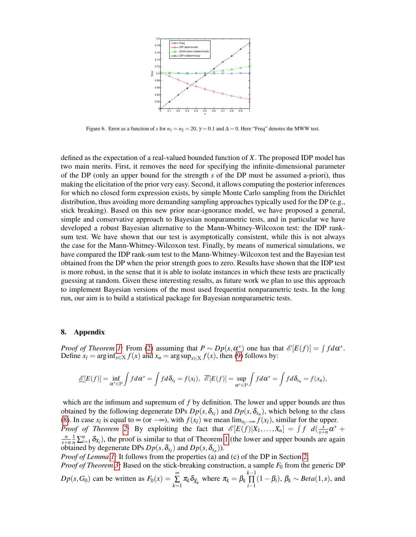

<span id="page-18-0"></span>Figure 6. Error as a function of *s* for  $n_1 = n_2 = 20$ ,  $\gamma = 0.1$  and  $\Delta = 0$ . Here "Freq" denotes the MWW test.

defined as the expectation of a real-valued bounded function of *X*. The proposed IDP model has two main merits. First, it removes the need for specifying the infinite-dimensional parameter of the DP (only an upper bound for the strength *s* of the DP must be assumed a-priori), thus making the elicitation of the prior very easy. Second, it allows computing the posterior inferences for which no closed form expression exists, by simple Monte Carlo sampling from the Dirichlet distribution, thus avoiding more demanding sampling approaches typically used for the DP (e.g., stick breaking). Based on this new prior near-ignorance model, we have proposed a general, simple and conservative approach to Bayesian nonparametric tests, and in particular we have developed a robust Bayesian alternative to the Mann-Whitney-Wilcoxon test: the IDP ranksum test. We have shown that our test is asymptotically consistent, while this is not always the case for the Mann-Whitney-Wilcoxon test. Finally, by means of numerical simulations, we have compared the IDP rank-sum test to the Mann-Whitney-Wilcoxon test and the Bayesian test obtained from the DP when the prior strength goes to zero. Results have shown that the IDP test is more robust, in the sense that it is able to isolate instances in which these tests are practically guessing at random. Given these interesting results, as future work we plan to use this approach to implement Bayesian versions of the most used frequentist nonparametric tests. In the long run, our aim is to build a statistical package for Bayesian nonparametric tests.

# 8. Appendix

*Proof of Theorem [1:](#page-6-3)* From [\(2\)](#page-3-2) assuming that  $P \sim Dp(s, \alpha^*)$  one has that  $\mathscr{E}[E(f)] = \int f d\alpha^*$ . Define  $x_l = \arg \inf_{x \in X} f(x)$  and  $x_u = \arg \sup_{x \in X} f(x)$ , then [\(9\)](#page-6-1) follows by:

$$
\underline{\mathscr{E}}[E(f)] = \inf_{\alpha^* \in \mathrm{P}} \int f d\alpha^* = \int f d\delta_{x_l} = f(x_l), \ \overline{\mathscr{E}}[E(f)] = \sup_{\alpha^* \in \mathrm{P}} \int f d\alpha^* = \int f d\delta_{x_u} = f(x_u),
$$

which are the infimum and supremum of f by definition. The lower and upper bounds are thus obtained by the following degenerate DPs  $Dp(s, \delta_{x_l})$  and  $Dp(s, \delta_{x_u})$ , which belong to the class [\(8\)](#page-6-0). In case  $x_l$  is equal to  $\infty$  (or  $-\infty$ ), with  $f(x_l)$  we mean  $\lim_{x_l \to \infty} f(x_l)$ , similar for the upper. *Proof of Theorem [2:](#page-6-4)* By exploiting the fact that  $\mathcal{E}[E(f)|X_1,\ldots,X_n] = \int f \ d(\frac{s}{s+1})$  $\frac{s}{s+n}\alpha^*$  + *n*  $\frac{n}{s+n}$   $\frac{1}{n}\sum_{i=1}^{n} \delta_{X_i}$ ), the proof is similar to that of Theorem [1](#page-6-3) (the lower and upper bounds are again obtained by degenerate DPs  $Dp(s, \delta_{x_l})$  and  $Dp(s, \delta_{x_u})$ ).

*Proof of Lemma [1:](#page-11-2)* It follows from the properties (a) and (c) of the DP in Section [2.](#page-3-3)

*Proof of Theorem [3:](#page-12-1)* Based on the stick-breaking construction, a sample  $F_0$  from the generic DP  $Dp(s, G_0)$  can be written as  $F_0(x) = \sum_{n=1}^{\infty}$  $\sum_{k=1}^{\infty} \pi_k \delta_{\tilde{X}_k}$  where  $\pi_k = \beta_k \prod_{i=1}^{k-1}$  $\prod_{i=1}$   $(1 - \beta_i)$ ,  $\beta_k \sim Beta(1, s)$ , and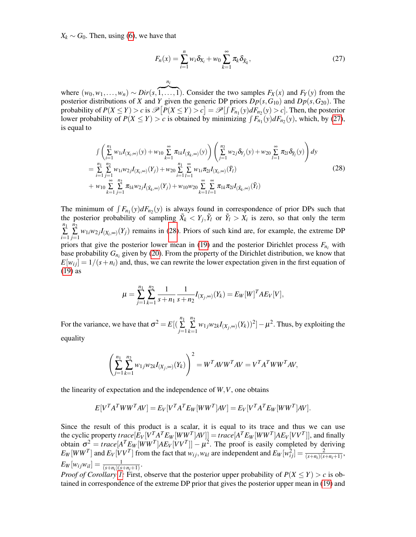$X_k \sim G_0$ . Then, using [\(6\)](#page-4-1), we have that

<span id="page-19-0"></span>
$$
F_n(x) = \sum_{i=1}^n w_i \delta_{X_i} + w_0 \sum_{k=1}^\infty \pi_k \delta_{\tilde{X}_k},
$$
\n(27)

where  $(w_0, w_1, \ldots, w_n) \sim Dir(s, \overbrace{1, \ldots, 1})$ . Consider the two samples  $F_X(x)$  and  $F_Y(y)$  from the posterior distributions of *X* and *Y* given the generic DP priors  $Dp(s, G_{10})$  and  $Dp(s, G_{20})$ . The probability of  $P(X \le Y) > c$  is  $\mathscr{P}[P(X \le Y) > c] = \mathscr{P}[ \int F_{n_1}(y) dF_{n_2}(y) > c]$ . Then, the posterior lower probability of  $P(X \le Y) > c$  is obtained by minimizing  $\int F_{n_1}(y) dF_{n_2}(y)$ , which, by [\(27\)](#page-19-0), is equal to

*ni*

<span id="page-19-1"></span>
$$
\int \left( \sum_{i=1}^{n_1} w_{1i} I_{(X_i, \infty)}(y) + w_{10} \sum_{k=1}^{\infty} \pi_{1k} I_{(\tilde{X}_k, \infty)}(y) \right) \left( \sum_{j=1}^{n_2} w_{2j} \delta_{Y_j}(y) + w_{20} \sum_{l=1}^{\infty} \pi_{2l} \delta_{\tilde{Y}_l}(y) \right) dy
$$
\n
$$
= \sum_{i=1}^{n_1} \sum_{j=1}^{n_2} w_{1i} w_{2j} I_{(X_i, \infty)}(Y_j) + w_{20} \sum_{i=1}^{n_1} \sum_{l=1}^{\infty} w_{1i} \pi_{2l} I_{(X_i, \infty)}(\tilde{Y}_l)
$$
\n
$$
+ w_{10} \sum_{k=1}^{\infty} \sum_{j=1}^{n_2} \pi_{1k} w_{2j} I_{(\tilde{X}_k, \infty)}(Y_j) + w_{10} w_{20} \sum_{k=1}^{\infty} \sum_{l=1}^{\infty} \pi_{1k} \pi_{2l} I_{(\tilde{X}_k, \infty)}(\tilde{Y}_l)
$$
\n(28)

The minimum of  $\int F_{n_1}(y) dF_{n_2}(y)$  is always found in correspondence of prior DPs such that the posterior probability of sampling  $\tilde{X}_k < Y_j$ ,  $\tilde{Y}_l$  or  $\tilde{Y}_l > X_i$  is zero, so that only the term *n*1 ∑ *i*=1 *n*2  $\sum_{j=1}^{n} w_{1i}w_{2j}I_{(X_i,\infty)}(Y_j)$  remains in [\(28\)](#page-19-1). Priors of such kind are, for example, the extreme DP priors that give the posterior lower mean in [\(19\)](#page-11-0) and the posterior Dirichlet process  $F_{n_i}$  with base probability  $G_{n_i}$  given by [\(20\)](#page-11-1). From the property of the Dirichlet distribution, we know that  $E[w_{ij}] = 1/(s+n_i)$  and, thus, we can rewrite the lower expectation given in the first equation of [\(19\)](#page-11-0) as

$$
\mu = \sum_{j=1}^{n_1} \sum_{k=1}^{n_2} \frac{1}{s+n_1} \frac{1}{s+n_2} I_{(X_j,\infty)}(Y_k) = E_W[W]^T A E_V[V],
$$

For the variance, we have that  $\sigma^2 = E[(\sum_{n=1}^{n_1}$ ∑ *j*=1 *n*2  $\sum_{k=1}^{\infty} w_{1j} w_{2k} I_{(X_j,\infty)}(Y_k))^2$   $]-\mu^2$ . Thus, by exploiting the equality

$$
\left(\sum_{j=1}^{n_1} \sum_{k=1}^{n_2} w_{1j} w_{2k} I_{(X_j,\infty)}(Y_k)\right)^2 = W^T A V W^T A V = V^T A^T W W^T A V,
$$

the linearity of expectation and the independence of *W*,*V*, one obtains

$$
E[VTATWWTAV] = EV[VTATEW[WWT]AV] = EV[VTATEW[WWT]AV].
$$

Since the result of this product is a scalar, it is equal to its trace and thus we can use the cyclic property  $trace[E_V[V^T A^T E_W [WW^T]AV]] = trace[A^T E_W [WW^T]AE_V [VV^T]],$  and finally obtain  $\sigma^2 = \text{trace}[A^T E_W[WW^T]AE_V[VV^T]] - \mu^2$ . The proof is easily completed by deriving  $E_W[WW^T]$  and  $E_V[VV^T]$  from the fact that  $w_{ij}$ ,  $w_{kl}$  are independent and  $E_W[w_{ij}^2] = \frac{2}{(s+n_i)(s+n_i+1)}$ ,  $E_W[w_{ij}w_{il}] = \frac{1}{(s+n_i)(s+n_i+1)}$ .

*Proof of Corollary [1:](#page-12-2)* First, observe that the posterior upper probability of  $P(X \leq Y) > c$  is obtained in correspondence of the extreme DP prior that gives the posterior upper mean in [\(19\)](#page-11-0) and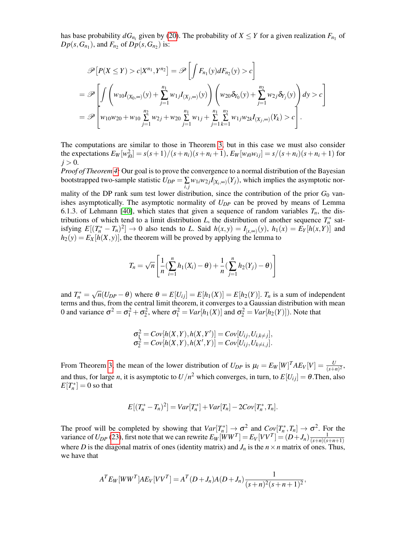has base probability  $dG_{n_i}$  given by [\(20\)](#page-11-1). The probability of  $X \leq Y$  for a given realization  $F_{n_1}$  of  $Dp(s, G_{n_1})$ , and  $F_{n_2}$  of  $Dp(s, G_{n_2})$  is:

$$
\mathscr{P}[P(X \leq Y) > c | X^{n_1}, Y^{n_2}] = \mathscr{P}\left[\int F_{n_1}(y) dF_{n_2}(y) > c\right]
$$
\n
$$
= \mathscr{P}\left[\int \left(w_{10} I_{(X_0, \infty)}(y) + \sum_{j=1}^{n_1} w_{1j} I_{(X_j, \infty)}(y)\right) \left(w_{20} \delta_{Y_0}(y) + \sum_{j=1}^{n_2} w_{2j} \delta_{Y_j}(y)\right) dy > c\right]
$$
\n
$$
= \mathscr{P}\left[w_{10} w_{20} + w_{10} \sum_{j=1}^{n_2} w_{2j} + w_{20} \sum_{j=1}^{n_1} w_{1j} + \sum_{j=1}^{n_1} \sum_{k=1}^{n_2} w_{1j} w_{2k} I_{(X_j, \infty)}(Y_k) > c\right].
$$

The computations are similar to those in Theorem [3,](#page-12-1) but in this case we must also consider the expectations  $E_W[w_{i0}^2] = s(s+1)/(s+n_i)(s+n_i+1)$ ,  $E_W[w_{i0}w_{ij}] = s/(s+n_i)(s+n_i+1)$  for  $j > 0$ .

*Proof of Theorem [4:](#page-14-2)* Our goal is to prove the convergence to a normal distribution of the Bayesian bootstrapped two-sample statistic  $U_{DP} = \sum_{i,j} w_{1i}w_{2j}I_{[X_i,\infty)}(Y_j)$ , which implies the asymptotic nor-

mality of the DP rank sum test lower distribution, since the contribution of the prior  $G_0$  vanishes asymptotically. The asymptotic normality of *UDP* can be proved by means of Lemma 6.1.3. of Lehmann [\[40\]](#page-23-7), which states that given a sequence of random variables  $T<sub>n</sub>$ , the distributions of which tend to a limit distribution *L*, the distribution of another sequence  $T_n^*$  satisfying  $E[(T_n^* - T_n)^2] \to 0$  also tends to L. Said  $h(x, y) = I_{[x, \infty)}(y)$ ,  $h_1(x) = E_Y[h(x, Y)]$  and  $h_2(y) = E_X[h(X, y)]$ , the theorem will be proved by applying the lemma to

$$
T_n = \sqrt{n} \left[ \frac{1}{n} \left( \sum_{i=1}^n h_1(X_i) - \theta \right) + \frac{1}{n} \left( \sum_{j=1}^n h_2(Y_j) - \theta \right) \right]
$$

and  $T_n^* = \sqrt{n}(U_{DP} - \theta)$  where  $\theta = E[U_{ij}] = E[h_1(X)] = E[h_2(Y)]$ .  $T_n$  is a sum of independent terms and thus, from the central limit theorem, it converges to a Gaussian distribution with mean 0 and variance  $\sigma^2 = \sigma_1^2 + \sigma_2^2$ , where  $\sigma_1^2 = Var[h_1(X)]$  and  $\sigma_2^2 = Var[h_2(Y)]$ ). Note that

$$
\sigma_1^2 = Cov[h(X, Y), h(X, Y')] = Cov[U_{ij}, U_{i,k \neq j}], \n\sigma_2^2 = Cov[h(X, Y), h(X', Y)] = Cov[U_{ij}, U_{k \neq i,j}].
$$

From Theorem [3,](#page-12-1) the mean of the lower distribution of  $U_{DP}$  is  $\mu_l = E_W[W]^T A E_V[V] = \frac{U}{(s+n)^2}$ , and thus, for large *n*, it is asymptotic to  $U/n^2$  which converges, in turn, to  $E[U_{ij}] = \theta$ . Then, also  $E[T_n^*]=0$  so that

$$
E[(T_n^* - T_n)^2] = Var[T_n^*] + Var[T_n] - 2Cov[T_n^*, T_n].
$$

The proof will be completed by showing that  $Var[T_n^*] \to \sigma^2$  and  $Cov[T_n^*, T_n] \to \sigma^2$ . For the variance of  $U_{DP}$  [\(23\)](#page-12-0), first note that we can rewrite  $E_W[WW^T] = E_V[VV^T] = (D+J_n)\frac{1}{(s+n)(s+n)}$  $(s+n)(s+n+1)$ where *D* is the diagonal matrix of ones (identity matrix) and  $J_n$  is the  $n \times n$  matrix of ones. Thus, we have that

$$
ATEW[WWT]AEV[VVT] = AT(D+Jn)A(D+Jn)\frac{1}{(s+n)^{2}(s+n+1)^{2}},
$$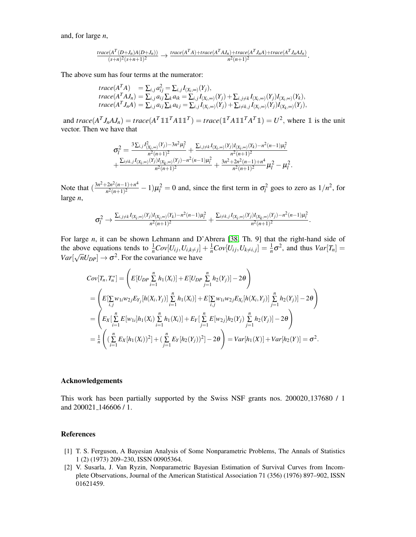and, for large *n*,

$$
\frac{trace(A^T(D+J_n)A(D+J_n))}{(s+n)^2(s+n+1)^2} \rightarrow \frac{trace(A^TA) + trace(A^TAJ_n) + trace(A^TJ_nA) + trace(A^TJ_nAJ_n)}{n^2(n+1)^2}.
$$

The above sum has four terms at the numerator:

$$
trace(A^T A) = \sum_{i,j} a_{ij}^2 = \sum_{i,j} I_{(X_i,\infty)}(Y_j),
$$
  
\n
$$
trace(A^T A J_n) = \sum_{i,j} a_{ij} \sum_k a_{ik} = \sum_{i,j} I_{(X_i,\infty)}(Y_j) + \sum_{i,j \neq k} I_{(X_i,\infty)}(Y_j) I_{(X_i,\infty)}(Y_k),
$$
  
\n
$$
trace(A^T J_n A) = \sum_{i,j} a_{ij} \sum_k a_{kj} = \sum_{i,j} I_{(X_i,\infty)}(Y_j) + \sum_{i \neq k,j} I_{(X_i,\infty)}(Y_j) I_{(X_k,\infty)}(Y_j),
$$

and  $trace(A^T J_n A J_n) = trace(A^T \mathbb{1}\mathbb{1}^T A \mathbb{1}\mathbb{1}^T) = trace(\mathbb{1}^T A \mathbb{1}\mathbb{1}^T A^T \mathbb{1}) = U^2$ , where  $\mathbbm{1}$  is the unit vector. Then we have that

$$
\sigma_l^2 = \frac{3 \sum_{i,j} I_{(X_i, \infty)}^2(Y_j) - 3n^2 \mu_l^2}{n^2 (n+1)^2} + \frac{\sum_{i,j \neq k} I_{(X_i, \infty)}(Y_j) I_{(X_i, \infty)}(Y_k) - n^2 (n-1) \mu_l^2}{n^2 (n+1)^2} + \frac{\sum_{i \neq k,j} I_{(X_i, \infty)}(Y_j) I_{(X_k, \infty)}(Y_j) - n^2 (n-1) \mu_l^2}{n^2 (n+1)^2} + \frac{3n^2 + 2n^2 (n-1) + n^4}{n^2 (n+1)^2} \mu_l^2 - \mu_l^2.
$$

Note that  $\left(\frac{3n^2+2n^2(n-1)+n^4}{n^2(n+1)^2}\right)$  $\frac{2n^2(n-1)+n^2}{n^2(n+1)^2} - 1$ ) $\mu_l^2 = 0$  and, since the first term in  $\sigma_l^2$  goes to zero as  $1/n^2$ , for large *n*,

$$
\sigma_l^2 \to \frac{\Sigma_{i,j\neq k} I_{(X_i,\infty)}(Y_j)I_{(X_i,\infty)}(Y_k) - n^2(n-1)\mu_l^2}{n^2(n+1)^2} + \frac{\Sigma_{i\neq k,j} I_{(X_i,\infty)}(Y_j)I_{(X_k,\infty)}(Y_j) - n^2(n-1)\mu_l^2}{n^2(n+1)^2}.
$$

For large *n*, it can be shown Lehmann and D'Abrera [\[38,](#page-23-5) Th. 9] that the right-hand side of the above equations tends to  $\frac{1}{n}Cov[U_{ij}, U_{i,k \neq j}] + \frac{1}{n}Cov[U_{ij}, U_{k \neq i,j}] = \frac{1}{n}\sigma^2$ , and thus  $Var[T_n] = \frac{1}{n}E[\sigma^2]$  $Var[\sqrt{n}U_{DP}] \rightarrow \sigma^2$ . For the covariance we have

$$
Cov[T_n, T_n^*] = \left( E[U_{DP} \sum_{i=1}^n h_1(X_i)] + E[U_{DP} \sum_{j=1}^n h_2(Y_j)] - 2\theta \right)
$$
  
= 
$$
\left( E[\sum_{i,j} w_{1i}w_{2j}E_{Y_j}[h(X_i, Y_j)] \sum_{i=1}^n h_1(X_i)] + E[\sum_{i,j} w_{1i}w_{2j}E_{X_i}[h(X_i, Y_j)] \sum_{j=1}^n h_2(Y_j)] - 2\theta \right)
$$
  
= 
$$
\left( E_X[\sum_{i=1}^n E[w_{1i}]h_1(X_i) \sum_{i=1}^n h_1(X_i)] + E_Y[\sum_{j=1}^n E[w_{2j}]h_2(Y_j) \sum_{j=1}^n h_2(Y_j)] - 2\theta \right)
$$
  
= 
$$
\frac{1}{n} \left( (\sum_{i=1}^n E_X[h_1(X_i))^2] + (\sum_{j=1}^n E_Y[h_2(Y_j))^2] - 2\theta \right) = Var[h_1(X)] + Var[h_2(Y)] = \sigma^2.
$$

# Acknowledgements

This work has been partially supported by the Swiss NSF grants nos. 200020.137680 / 1 and 200021<sub>-1</sub>46606 / 1.

### References

- <span id="page-21-0"></span>[1] T. S. Ferguson, A Bayesian Analysis of Some Nonparametric Problems, The Annals of Statistics 1 (2) (1973) 209–230, ISSN 00905364.
- <span id="page-21-1"></span>[2] V. Susarla, J. Van Ryzin, Nonparametric Bayesian Estimation of Survival Curves from Incomplete Observations, Journal of the American Statistical Association 71 (356) (1976) 897–902, ISSN 01621459.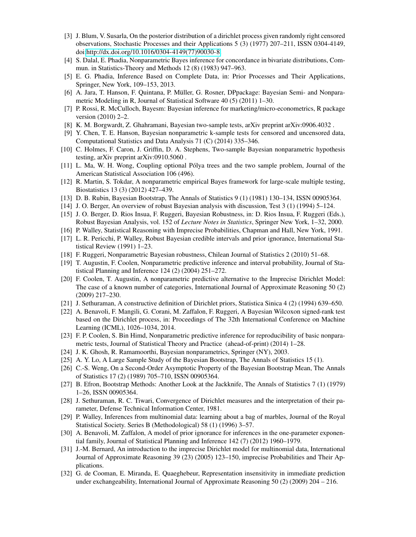- <span id="page-22-0"></span>[3] J. Blum, V. Susarla, On the posterior distribution of a dirichlet process given randomly right censored observations, Stochastic Processes and their Applications 5 (3) (1977) 207–211, ISSN 0304-4149, doi[:http://dx.doi.org/10.1016/0304-4149\(77\)90030-8.](http://dx.doi.org/10.1016/0304-4149(77)90030-8)
- <span id="page-22-1"></span>[4] S. Dalal, E. Phadia, Nonparametric Bayes inference for concordance in bivariate distributions, Commun. in Statistics-Theory and Methods 12 (8) (1983) 947–963.
- <span id="page-22-2"></span>[5] E. G. Phadia, Inference Based on Complete Data, in: Prior Processes and Their Applications, Springer, New York, 109–153, 2013.
- <span id="page-22-3"></span>[6] A. Jara, T. Hanson, F. Quintana, P. Müller, G. Rosner, DPpackage: Bayesian Semi- and Nonparametric Modeling in R, Journal of Statistical Software 40 (5) (2011) 1–30.
- <span id="page-22-4"></span>[7] P. Rossi, R. McCulloch, Bayesm: Bayesian inference for marketing/micro-econometrics, R package version (2010) 2–2.
- <span id="page-22-5"></span>[8] K. M. Borgwardt, Z. Ghahramani, Bayesian two-sample tests, arXiv preprint arXiv:0906.4032 .
- <span id="page-22-6"></span>[9] Y. Chen, T. E. Hanson, Bayesian nonparametric k-sample tests for censored and uncensored data, Computational Statistics and Data Analysis 71 (C) (2014) 335–346.
- <span id="page-22-7"></span>[10] C. Holmes, F. Caron, J. Griffin, D. A. Stephens, Two-sample Bayesian nonparametric hypothesis testing, arXiv preprint arXiv:0910.5060 .
- <span id="page-22-8"></span>[11] L. Ma, W. H. Wong, Coupling optional Pólya trees and the two sample problem, Journal of the American Statistical Association 106 (496).
- <span id="page-22-9"></span>[12] R. Martin, S. Tokdar, A nonparametric empirical Bayes framework for large-scale multiple testing, Biostatistics 13 (3) (2012) 427–439.
- <span id="page-22-10"></span>[13] D. B. Rubin, Bayesian Bootstrap, The Annals of Statistics 9 (1) (1981) 130–134, ISSN 00905364.
- <span id="page-22-11"></span>[14] J. O. Berger, An overview of robust Bayesian analysis with discussion, Test 3 (1) (1994) 5–124.
- <span id="page-22-12"></span>[15] J. O. Berger, D. Rios Insua, F. Ruggeri, Bayesian Robustness, in: D. Rios Insua, F. Ruggeri (Eds.), Robust Bayesian Analysis, vol. 152 of *Lecture Notes in Statistics*, Springer New York, 1–32, 2000.
- <span id="page-22-13"></span>[16] P. Walley, Statistical Reasoning with Imprecise Probabilities, Chapman and Hall, New York, 1991.
- <span id="page-22-14"></span>[17] L. R. Pericchi, P. Walley, Robust Bayesian credible intervals and prior ignorance, International Statistical Review (1991) 1–23.
- <span id="page-22-15"></span>[18] F. Ruggeri, Nonparametric Bayesian robustness, Chilean Journal of Statistics 2 (2010) 51–68.
- <span id="page-22-16"></span>[19] T. Augustin, F. Coolen, Nonparametric predictive inference and interval probability, Journal of Statistical Planning and Inference 124 (2) (2004) 251–272.
- <span id="page-22-17"></span>[20] F. Coolen, T. Augustin, A nonparametric predictive alternative to the Imprecise Dirichlet Model: The case of a known number of categories, International Journal of Approximate Reasoning 50 (2) (2009) 217–230.
- <span id="page-22-18"></span>[21] J. Sethuraman, A constructive definition of Dirichlet priors, Statistica Sinica 4 (2) (1994) 639–650.
- <span id="page-22-19"></span>[22] A. Benavoli, F. Mangili, G. Corani, M. Zaffalon, F. Ruggeri, A Bayesian Wilcoxon signed-rank test based on the Dirichlet process, in: Proceedings of The 32th International Conference on Machine Learning (ICML), 1026–1034, 2014.
- <span id="page-22-20"></span>[23] F. P. Coolen, S. Bin Himd, Nonparametric predictive inference for reproducibility of basic nonparametric tests, Journal of Statistical Theory and Practice (ahead-of-print) (2014) 1–28.
- <span id="page-22-21"></span>[24] J. K. Ghosh, R. Ramamoorthi, Bayesian nonparametrics, Springer (NY), 2003.
- <span id="page-22-22"></span>[25] A. Y. Lo, A Large Sample Study of the Bayesian Bootstrap, The Annals of Statistics 15 (1).
- <span id="page-22-23"></span>[26] C.-S. Weng, On a Second-Order Asymptotic Property of the Bayesian Bootstrap Mean, The Annals of Statistics 17 (2) (1989) 705–710, ISSN 00905364.
- <span id="page-22-24"></span>[27] B. Efron, Bootstrap Methods: Another Look at the Jackknife, The Annals of Statistics 7 (1) (1979) 1–26, ISSN 00905364.
- <span id="page-22-25"></span>[28] J. Sethuraman, R. C. Tiwari, Convergence of Dirichlet measures and the interpretation of their parameter, Defense Technical Information Center, 1981.
- <span id="page-22-26"></span>[29] P. Walley, Inferences from multinomial data: learning about a bag of marbles, Journal of the Royal Statistical Society. Series B (Methodological) 58 (1) (1996) 3–57.
- <span id="page-22-27"></span>[30] A. Benavoli, M. Zaffalon, A model of prior ignorance for inferences in the one-parameter exponential family, Journal of Statistical Planning and Inference 142 (7) (2012) 1960–1979.
- <span id="page-22-28"></span>[31] J.-M. Bernard, An introduction to the imprecise Dirichlet model for multinomial data, International Journal of Approximate Reasoning 39 (23) (2005) 123–150, imprecise Probabilities and Their Applications.
- <span id="page-22-29"></span>[32] G. de Cooman, E. Miranda, E. Quaeghebeur, Representation insensitivity in immediate prediction under exchangeability, International Journal of Approximate Reasoning 50 (2) (2009) 204 – 216.